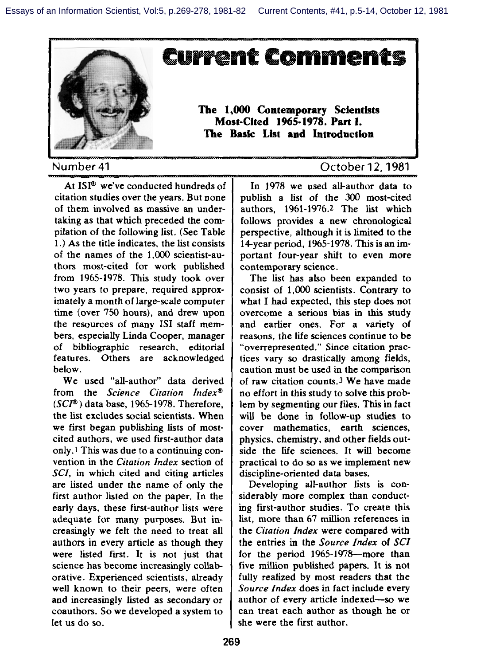

At ISI<sup>®</sup> we've conducted hundreds of citation studies over the years. But none of them involved as massive an undertaking as that which preceded the compilation of the following list, (See Table 1.) As the title indicates, the list consists of the names of the 1,000 scientist-authors most-cited for work published from 1965-1978. This study took over two years to prepare, required approximately a month of large-scale computer time (over 750 hours), and drew upon the resources of many 1S1 staff members, especially Linda Cooper, manager of bibliographic research, editorial features. Others are acknowledged below.

We used "alf-author" data derived from the Science *Citation Index@ (SC~ )* data base, 1965-1978. Therefore, the list excludes social scientists. When we first began publishing lists of mostcited authors, we used first-author data only. 1This was due to a continuing convention in the *Citation Index* section of SCI, in which cited and citing articles are listed under the name of only the first author listed on the paper. In the early days, these Fist-author lists were adequate for many purposes. But increasingly we felt the need to treat all authors in every article as though they were listed first. It is not just that science has become increasingly collaborative. Experienced scientists, already well known to their peers, were often and increasingly fisted as secondary or coauthors. So we developed a system to let us do so.

In 1978 we used all-author data to publish a list of the 300 most-cited authors, 1961-1976.2 The list which follows provides a new chronological perspective, although it is limited to the 14-year period, 1965-1978. This is an important four-year shift to even more contemporary science.

The list has also been expanded to consist of 1,000 scientists. Contrary to what I had expected, this step does not overcome a serious bias in this study and earlier ones. For a variety of reasons, the life sciences continue to be "overrepresented." Since citation practices vary so drastically among fields, caution must be used in the comparison of raw citation counts.<sup>3</sup> We have made no effort in this study to solve this problem by segmenting our files. This in fact will be done in follow-up studies to cover mathematics, earth sciences, physics, chemistry, and other fields outside the fife sciences. It will become practical to do so as we implement new discipline-oriented data bases.

Developing all-author lists is considerably more complex than conducting first-author studies. To create this list, more than 67 million references in the *Citation Index* were compared with the entries in the *Source Index* of SCI for the period 1965-1978-more than five million published papers. It is not fully realized by most readers that the *Source Index* does in fact include every author of every article indexed-so we can treat each author as though he or she were the first author.

## Number 41 October 12, 1951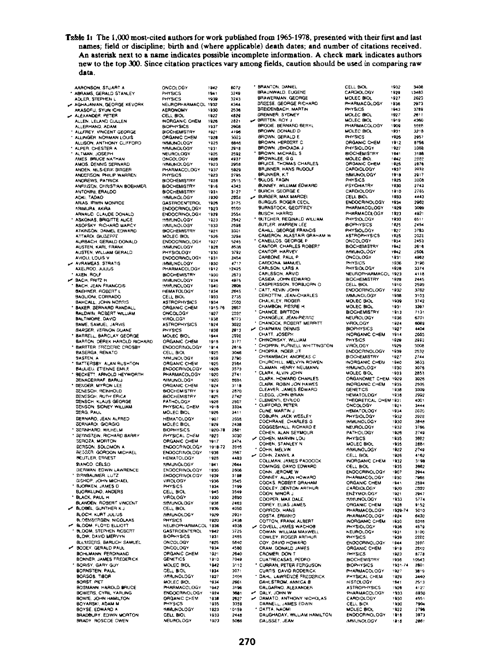Table 1: The 1,000 most-cited authors for work published from 1965-1978, presented with their first and last names; field or discipline; birth and (where applicable) death dates; and number of citations received. An asterisk next to a name indicates possible incomplete information. A check mark indicates authors new to the top 300. Since citation practices vary among fields, caution should be used in comparing raw data.

J.

l.

 $\ddot{\phantom{0}}$ 

|   | <b>STUART</b><br>AARONSON, STUART A<br>ABRAMS, GERALD STANLEY                                                                                                                                                     | ONC<br>PHY!                                               |
|---|-------------------------------------------------------------------------------------------------------------------------------------------------------------------------------------------------------------------|-----------------------------------------------------------|
|   | ADLER, STEPHEN I                                                                                                                                                                                                  | PHY!                                                      |
|   | AGHAJANIAN, GEORGE KEVORK                                                                                                                                                                                         | NEU                                                       |
|   | AKASOFU, SYUN ICHI<br>ALEXANDER, PETER                                                                                                                                                                            | <b>AER</b><br>CELL                                        |
|   | ALLEN, LELAND CULLEN                                                                                                                                                                                              | <b>INOP</b>                                               |
|   | ALLERHAND, ADAM                                                                                                                                                                                                   | BIOP<br>BIOC                                              |
|   |                                                                                                                                                                                                                   | ORG                                                       |
|   | ALLINGER, NORMAN LOUIS<br>ALLISON, ANTHONY CUFFORD<br>ALPER, CHESTER A                                                                                                                                            | <b>MM</b>                                                 |
|   | ALTMAN, JOSEPH                                                                                                                                                                                                    | NEU                                                       |
|   | AMOS, DENNIS SERNARD                                                                                                                                                                                              | ONC<br><b>MAR</b>                                         |
|   | ANDEN, NILS-ERIK BIRGER                                                                                                                                                                                           | (Al                                                       |
|   | ANDERSON, PHILIP WARREN                                                                                                                                                                                           | PHY:                                                      |
|   | ANDREWS, PATRICK<br>ANDREWS, PATRICK<br>ANFINSEN, CHRISTIAN BOEHMER                                                                                                                                               |                                                           |
|   |                                                                                                                                                                                                                   |                                                           |
|   | TADAO<br><b>ADKI</b><br>ADKI, TADAO<br>ARIAS, IRWIN MONROE<br>ARNAUD, CLAUDE DONALD<br>ARNAUD, CLAUDE DONALD<br>ASKONAS, BRIGHARD MARCY<br>ATKINSON, DANIEL EDWARD<br>ATKINSON, DANIEL EDWARD<br>ATKINSON, DANIEL | <b>BIOC</b><br><b>BIOC</b><br>BIOC<br>BIOC<br>BIOC<br>GAS |
|   |                                                                                                                                                                                                                   | END                                                       |
|   |                                                                                                                                                                                                                   | END<br>9,949                                              |
|   |                                                                                                                                                                                                                   | .<br>Umr                                                  |
|   |                                                                                                                                                                                                                   | <b>BIOC</b>                                               |
|   | ATTARDI, GIUSEPPE                                                                                                                                                                                                 | MOL<br>END                                                |
|   | AURBACH, GERALD DONALD<br>AUSTEN, KARL FRANK<br>AUSTEN, WILLIAM GERALD                                                                                                                                            | <b>INM</b>                                                |
|   | AVIOLI, LOUIS V                                                                                                                                                                                                   | PHY<br>END                                                |
|   | AVRAMEAS, STRATIS                                                                                                                                                                                                 | 5.MM                                                      |
|   | AXELROD, JULIUS<br>AXEN, ROLF                                                                                                                                                                                     | PHA                                                       |
|   | AXEN, HOUF<br>BACH, FRITZ H<br>BACH, JEAN FRANCOIS<br>BAEHNER, ROBERT L<br>BAGUIONI, CORRADO<br>BAHCALL, JOHN NORRIS<br>SAXER, BERNARD RANDAL<br>SAXER, BERNARD RANDAL                                            | <b>BIOC</b><br>IMMI                                       |
|   |                                                                                                                                                                                                                   | <b>MM</b><br>HEM                                          |
|   |                                                                                                                                                                                                                   | CELI<br>ASTI                                              |
|   |                                                                                                                                                                                                                   |                                                           |
|   | BALDWIN, ACBERT<br>WILLIAM                                                                                                                                                                                        | ORG<br>ORG<br>VIRC<br>ASTI                                |
|   | BALTIMORE, DAVID<br>BAME, SAMUEL, JARVIS                                                                                                                                                                          |                                                           |
|   | <b>BARGER, VERNON DUANE</b>                                                                                                                                                                                       | PHY                                                       |
|   | BARRELL, BARCLAY GEORGE<br>BARTON, DEREK HAROLD RICH                                                                                                                                                              | MOL                                                       |
|   | <b>IARD</b>                                                                                                                                                                                                       | ORG<br>END                                                |
|   | BASERGA, RENATO                                                                                                                                                                                                   | CEL                                                       |
|   |                                                                                                                                                                                                                   | MM<br>ORG<br>END                                          |
|   | SASTER, A<br>BATTERSBY ALAN RUSHTON<br>BAULJEU, ETJENNE EMULE<br>BECKETT, ARNOLD HEYWORTH                                                                                                                         |                                                           |
|   |                                                                                                                                                                                                                   | PHA<br>.<br>India                                         |
|   | <b>SENACERRAF, BARUJ</b><br>DENOER, MYRON LEE                                                                                                                                                                     | ORG                                                       |
|   | DEMESCH, REINHOLD<br>DEMESCH, RUTH ERICA<br>DEMSCH, RUTH ERICA<br>BENSCH, KLAUS GEORGE<br>BENSON, SIDNEY WILLIAN<br>BERG, PAUL                                                                                    | 8100                                                      |
|   |                                                                                                                                                                                                                   | PATI                                                      |
|   | WILLIAM                                                                                                                                                                                                           | p)<br>ĸ٧                                                  |
|   |                                                                                                                                                                                                                   | <b>MOL</b><br>HEM                                         |
|   | BERNARO, JEAN ALFRED<br>SERNAROI, GIORGIO                                                                                                                                                                         | <b>MOL</b>                                                |
|   | SERNHARD, WILHELM<br>SERNISTEIN, RICHARD BARRY                                                                                                                                                                    | BIOF<br>PHY                                               |
|   | SEROZA, MORTON                                                                                                                                                                                                    | ORG                                                       |
|   | BERGER, MOLTON<br>BERSON, SOLOMON A<br>BEUTLER, ERNEST                                                                                                                                                            | END                                                       |
|   |                                                                                                                                                                                                                   | END<br>HEM                                                |
|   | <b>RIANCO, CELSO</b>                                                                                                                                                                                              | <b>BAM</b>                                                |
|   | <b>GERMAN</b><br><b>EDWIN LAWRENCE</b>                                                                                                                                                                            | END                                                       |
|   |                                                                                                                                                                                                                   | END<br>VIRC<br>PHY                                        |
|   | DEEMAN EDWIN<br>ERBADMER, LUTZ<br>GISHOP, JOHN MICHAEL<br>BJORKEUND, ANDERS<br>BLACK, PAUL H<br>BLACK, PAUL H                                                                                                     |                                                           |
|   |                                                                                                                                                                                                                   | CEL<br>VIRC                                               |
|   | BLANDEN, ROBERT VINCENT                                                                                                                                                                                           | an i                                                      |
|   |                                                                                                                                                                                                                   | CEL<br><b>SOM</b>                                         |
|   | BLOCH, KURT JULIUS<br>BLOEMSERGEN, NIGOLAAS<br>BLOOM, FLOYD ELLIOTT<br>BLOOM, STEPHEN ROBERT                                                                                                                      |                                                           |
|   |                                                                                                                                                                                                                   | NEU<br>GAS                                                |
|   | <b>BLOW, DAVID MERVYN</b>                                                                                                                                                                                         | BIO                                                       |
| ė | BLUMSERG,<br><b>BARUCH SAMUEL</b><br>GERALD PAUL<br><b>BODEY</b>                                                                                                                                                  | ONC                                                       |
|   |                                                                                                                                                                                                                   | OR.                                                       |
|   | <b>BOHLMANN, FERDINAND</b><br>BOHLMANN, FERDINAND                                                                                                                                                                 | GEN                                                       |
|   | BORISY, GARY GU<br>BORNSTEIN, PAUL<br><b>GARY GUY</b>                                                                                                                                                             | <b>MOL</b><br>CEL                                         |
|   | TIBOR<br>BORSOS, TI                                                                                                                                                                                               | 644                                                       |
|   |                                                                                                                                                                                                                   | MO                                                        |
|   | BOMST, MET<br>ROSMANN, HAROLD BRUCE<br>BOWERS, CYRIL YARUNG<br>BOWEE, JOHN HAMILTON<br>BOYSE, EDWARD A<br>SRADY ROSCOE OWEN<br>BRADY ROSCOE OWEN                                                                  | <b>PHA</b><br>END<br>ORC                                  |
|   |                                                                                                                                                                                                                   | ١Y                                                        |
|   |                                                                                                                                                                                                                   | <b>1.AM</b>                                               |
|   |                                                                                                                                                                                                                   | CEL                                                       |
|   |                                                                                                                                                                                                                   | <b>NEL</b>                                                |

| <b>ONCOLOGY</b>                                                        | 1942                | 6072                 |
|------------------------------------------------------------------------|---------------------|----------------------|
| PHYSICS                                                                | 1941                | 3249                 |
| <b>IYSICS</b><br>P١                                                    | 1939                | 3243                 |
| NEUROPI<br><b>RMACOL</b>                                               | 1932                | 4344                 |
| AERONOMY                                                               | 1930                | 2536                 |
| CELL BIOL                                                              | 1922                | 4829                 |
| <b>IORGANIC CHEM</b>                                                   | 1926                | 2821                 |
| <b>BIOPHYSICS</b>                                                      | 1937                | 2608                 |
| <b>IEMISTI</b><br>BIOCI<br>ì,                                          | 1921                | 419<br>ś             |
| ORGANIC CHE<br><b>IEM</b>                                              | 1928                | 3023<br>6846         |
|                                                                        | 1925                |                      |
| <b>MMUNOLOGY</b>                                                       | 1931                | 2918                 |
| NEUROLOGY                                                              | 1925                | 2592<br>4937         |
| MCOLOGY                                                                | 1926                |                      |
| <b>MMUNOLOGY</b>                                                       | 1923                | 2958                 |
| HARMACOLOGY<br>HYSICS                                                  | 1937                | 5929                 |
| ŗ                                                                      | 1923                | 2795                 |
| BIOCHEMISTRY<br>BIOCHEMISTRY<br>BIOCHEMISTRY                           | 1928                | 2515                 |
|                                                                        | 1916                | 4343<br>4343<br>2855 |
|                                                                        | 1931                |                      |
| MMUNOLOGY<br>GASTROENTEROL                                             | 1930                |                      |
|                                                                        | 1926                | 3175                 |
| <b>ENDOCRINOLOGY</b>                                                   | 1923                | 9550                 |
| ENDOCRINOLO                                                            | 1929                | 2554                 |
| <b>MMUNOLOGY</b>                                                       | 1923                | 2542                 |
| <b>MMUNOLOGY</b>                                                       | 1933                | 2598                 |
| <b>BIOCHEMISTRY</b>                                                    | 1921                | 3301                 |
| MOLEC BIOL                                                             | 1926                | 3294                 |
| ENDOCRINOLOGY                                                          | 1927                | 5245                 |
| <b>IMMUNOLOGY</b>                                                      | 1928                | 8536                 |
| <b>IYSIOLOGY</b>                                                       | 1930                | 3792                 |
| ENDOCRINOLOGY                                                          | 1931                | 2454                 |
| <b>MMUNOLOGY</b>                                                       | 1930                | 4717                 |
| PHARMACOLOGY                                                           | 1912                | 12425                |
| BIOCHEMISTRY                                                           | 1930                | 2573<br>4975<br>2006 |
| MMUNOLO<br>)GY                                                         | 1934                |                      |
| )GY                                                                    | 1940                |                      |
| <b>HEMATOLOGY</b>                                                      | 1934                | 2645<br>2735         |
| CELL BIOL                                                              | 1933                |                      |
| <b>ASTROPHYSICS</b><br>ORGANIC CHEM                                    | 1934                | 2562                 |
|                                                                        | 1915-76             | 2657                 |
| ONCOLOGY                                                               | 1927                | 2233                 |
| <b>VIROLOGY</b>                                                        | 1938                | 6773                 |
| <b>ASTROPHYSICS</b>                                                    | 1924                | 3022                 |
| PHYSICS                                                                | 1938                | 2913                 |
| MOLEC BIOL                                                             | 1944<br>1918        | -<br>2592            |
| ORGANIC CHEM                                                           |                     | 3177                 |
| ENDOCRINOLOGY                                                          | 1914                | 2816                 |
| CELL BIOL                                                              | 1925                | 3046                 |
| <b>MMUNOLOGY</b>                                                       | 1939                | 2790                 |
| ORGANIC CHEM                                                           | 1925                | 2564                 |
| ENDOCRINOLOGY                                                          | 1926                | 3573                 |
| PHARMACOLOGY                                                           | 1920                | 2741                 |
| <b>MUNOLOGY</b>                                                        | 1920                | 9694                 |
| ORGANIC CHEM                                                           | 1924                | 3118                 |
| SHEATH UPPER<br>BIOCHEMISTRY<br>BIOCHEMISTRY                           | 1919                | 2870                 |
|                                                                        | 1925                | 2742                 |
| PATHOLOGY                                                              | 1928                | 2507                 |
| PHYSICAL<br>C)<br><b>IEN</b>                                           | 1918                | 3334                 |
| <b>IOLEC BIOL</b>                                                      | 1926                | 3411                 |
| HEMATOLOGY<br>AOLEC BIOL                                               | 1907<br>1929        | 255 L                |
|                                                                        |                     | 2438                 |
| BIOPHYSICS                                                             | 1920<br>-78         | 2881                 |
| PHYSICAL CH<br>iEM                                                     | 1923                | 3030                 |
| ORGANIC CHEM                                                           | 1917                | 2474                 |
| ENDOCRINOLOGY<br>ENDOCRINOLOGY                                         | 1918-72             | 3945                 |
|                                                                        | 1936                | 3567                 |
| EMATOLOGY                                                              | 1928                | 4483                 |
| <b>MMUNOLOGY</b>                                                       | 1941                | 2644                 |
| ENDOCRINOLOGY                                                          | 1930                | 2606                 |
| ENDOCRINOLOGY                                                          | 1939                | 3198                 |
| VIROLOGY                                                               | 1936                | 3545                 |
| <b>HYSICS</b>                                                          | 1934                | 3199                 |
| CELL BIOI                                                              | 1945                | 3549                 |
| VIROLOGY                                                               | 1030                | 2690                 |
| <b>SMUNOLOGY</b>                                                       | 1936                | 2463                 |
| CELL BIOL                                                              | 1936                | 4050                 |
|                                                                        |                     |                      |
| 9.O.N<br><b>NOLOGY</b>                                                 | 1929                | 2931                 |
| PHYSICS<br><b>NEUROPI</b>                                              | 1920<br>1936        | 2438                 |
| <b>IARMACOL</b><br><b>ASTROENTEROL</b><br>Ġ                            | 1942                | 4938                 |
| BIOP<br><b>IYSICS</b>                                                  | 1931                | 3725<br>2465         |
| ONCOLOGY                                                               | 1925                | 5640                 |
|                                                                        | 193<br>4            | -<br>4580            |
| ONCOLOGY<br>ORGANIC CH                                                 |                     | 2640                 |
| <b>EM</b>                                                              | 1921<br>1910        |                      |
|                                                                        |                     | 7049                 |
| AOLEC BIOL<br>í                                                        | 1942                | <br>3110             |
| CELL BIOL                                                              | 1934                | 3071                 |
| MAUNOLOGY                                                              | 1927                | 3404                 |
| <b>MOLEC BIOL</b>                                                      | 1934                | 2661                 |
|                                                                        | $\frac{1942}{1924}$ | ====<br>3196<br>36B1 |
|                                                                        |                     |                      |
|                                                                        | 1938                | 2827                 |
| HOLEL BIDL<br>PHARMAGOLOGY<br>ENDOCRINOLOGY<br>DROANIC CHEM<br>PHYSICS | 1935                | 3358                 |
| MMUNOLOGY                                                              | 1923                | 0159                 |
| <b>CELL BIOL</b><br><b>NEUROLOGY</b>                                   | 1933                | 2448                 |
|                                                                        | 1923                | 5006                 |

|                      | <b>BRANTON, DANIEL</b>                                                                                                                                                                                                                                                           | ci<br>C        |
|----------------------|----------------------------------------------------------------------------------------------------------------------------------------------------------------------------------------------------------------------------------------------------------------------------------|----------------|
|                      | BRAUNWALD, EUGENE<br><b>BRAWERMAN, GEORGE</b>                                                                                                                                                                                                                                    | м              |
|                      | <b>BREESE, GEORGE RICHARD</b>                                                                                                                                                                                                                                                    |                |
|                      | SREIDENBACH, MARTIN                                                                                                                                                                                                                                                              | ipi<br>Pi      |
|                      | SYDNEY<br><b>ORENNER</b>                                                                                                                                                                                                                                                         | <br>M          |
|                      | WINTERN, STUNET<br>BRITTEN, ROY J<br>BRODIE, BERNARD BERYL<br>BROWN, DONALD D                                                                                                                                                                                                    | .<br>M         |
|                      |                                                                                                                                                                                                                                                                                  | P۲<br>M        |
|                      | <b>BROWN, DONALD D<br/>BROWN, GERALD E<br/>BROWN, HERGERT C.<br/>BROWN, JEHOWDA<br/>BROWN, JEHOWDA<br/>BROWN, JEHOWS CHARLES<br/>BRUNNER, HANS RUDOLF<br/>BRUNNER, HANS RUDOLF<br/>BRUNNER, HANS RUDOLF<br/>BRUNNER, HANS RUDOLF<br/>BURGE, MAX MARGEL<br/>BURGE, MAX MARGEL</b> | Pŀ             |
|                      |                                                                                                                                                                                                                                                                                  | О              |
|                      |                                                                                                                                                                                                                                                                                  |                |
|                      |                                                                                                                                                                                                                                                                                  | Bŀ             |
|                      |                                                                                                                                                                                                                                                                                  | 54             |
|                      |                                                                                                                                                                                                                                                                                  | 0l<br>C,       |
|                      |                                                                                                                                                                                                                                                                                  | M,             |
|                      |                                                                                                                                                                                                                                                                                  | pi<br>PS       |
|                      |                                                                                                                                                                                                                                                                                  |                |
|                      |                                                                                                                                                                                                                                                                                  | c,<br>Cl       |
|                      |                                                                                                                                                                                                                                                                                  | EI             |
|                      | BURGUS, ROGER CECIL<br>BURNSTOCK, GEOFFREY                                                                                                                                                                                                                                       | Pt             |
|                      | BUSCH, HARRICHAN<br>BUTCHER, REGINALD V                                                                                                                                                                                                                                          | p,             |
| ı.                   | WILLIAM                                                                                                                                                                                                                                                                          | p,             |
|                      |                                                                                                                                                                                                                                                                                  | Bł             |
|                      | GEORGE FRANCIS<br>CAHILL, GEORGE FRANCIS<br>CAMERON, ALASTAIR GRAN<br>CANELLOS, GEORGE P                                                                                                                                                                                         | p,<br>PI<br>AS |
| ,                    |                                                                                                                                                                                                                                                                                  | ol             |
|                      | CANTOR, CHARLES ROBERT                                                                                                                                                                                                                                                           | ē,             |
|                      |                                                                                                                                                                                                                                                                                  |                |
|                      |                                                                                                                                                                                                                                                                                  | Ō              |
|                      | CANTON MATE                                                                                                                                                                                                                                                                      | in<br>Pl       |
|                      |                                                                                                                                                                                                                                                                                  | N              |
|                      | CARLSON, DANS A.<br>CARLSSON, ARVID<br>CASIDA, JOHN EDWARD<br>CASPERSSON, TORBJORN O                                                                                                                                                                                             | BI             |
|                      |                                                                                                                                                                                                                                                                                  | či             |
|                      |                                                                                                                                                                                                                                                                                  | ë              |
|                      |                                                                                                                                                                                                                                                                                  | 9,             |
|                      |                                                                                                                                                                                                                                                                                  | 14<br>Bi       |
|                      |                                                                                                                                                                                                                                                                                  |                |
|                      |                                                                                                                                                                                                                                                                                  | Ní             |
|                      | CASPEASSON, TOHNUORN C<br>CATT, KEVIN JOHN<br>CEROTTIN, JEAN-CHARLES<br>CHALKLEY, ROGER<br>CHAMEC, BRITTON<br>CHAMECUR, JERTON<br>CHAMECUR, JERTON<br>CHANCCK, ROBERT MERRIT<br>CHAPMAN, DEWINS<br>CHAPMAN, DEWINS<br>CHAPMAN, DEWINS                                            | V              |
| ſ                    |                                                                                                                                                                                                                                                                                  | 81             |
|                      |                                                                                                                                                                                                                                                                                  | iN<br>Pi       |
| $\ddot{\phantom{0}}$ |                                                                                                                                                                                                                                                                                  | VI             |
|                      |                                                                                                                                                                                                                                                                                  | E,             |
|                      | CHAPMAN, DEPH<br>CHINOWSKY, WILLIAM<br>CHINOWSKY, WILLIAM<br>CHOPRA, INDER JIT<br>CHOPRA, INDER JIT<br>CHAMBACH, ANDERS C<br>CHINOMATHEN NEUVA ROWEN<br>CLARK ATUN TOLIN<br>CLARK ATUN TOLIN                                                                                     | Bi             |
|                      |                                                                                                                                                                                                                                                                                  | 而              |
|                      |                                                                                                                                                                                                                                                                                  |                |
|                      | CLARK, ALVIN JOHN<br>CLARK, HOWARD CHARLES<br>CLARK, ROBIN JOH HAWES<br>CLEAVER, JAMES EDWARD                                                                                                                                                                                    | <b>MO</b>      |
|                      |                                                                                                                                                                                                                                                                                  |                |
|                      |                                                                                                                                                                                                                                                                                  | G              |
|                      | CLEGG, JOHN BRIAN<br>CLEMENTI, ENRICO<br>CLIFFORD, PETER                                                                                                                                                                                                                         | <b>BEFORE</b>  |
|                      |                                                                                                                                                                                                                                                                                  |                |
|                      | CLINE, MARTIN                                                                                                                                                                                                                                                                    |                |
|                      | CLINE, MARTIN J<br>COBURN, JACK WESLEY<br>COCHRANE, CHARLES G                                                                                                                                                                                                                    |                |
|                      |                                                                                                                                                                                                                                                                                  | y,<br>Ni       |
|                      |                                                                                                                                                                                                                                                                                  | p,             |
|                      |                                                                                                                                                                                                                                                                                  |                |
|                      |                                                                                                                                                                                                                                                                                  | P)<br>M        |
| $\vdots$             |                                                                                                                                                                                                                                                                                  | ä,             |
|                      |                                                                                                                                                                                                                                                                                  | C,             |
|                      | COCHRANE, CHARLES G<br>COGGESHALL, RICHARD E<br>COHEN, ALAN SEYMOUR<br>COHEN, MARVIN LOU<br>COHEN, MARVIN<br>COLLMAN, JAME S<br>COMINAN, JAME SADOOCK<br>COMINGS DAVID EDWARD<br>COMINGS DAVID EDWARD<br>COMINGS DAVID EDWARD                                                    | IM.            |
|                      |                                                                                                                                                                                                                                                                                  | ¢<br>EI        |
|                      |                                                                                                                                                                                                                                                                                  | m              |
|                      | COMINISTO DIVIDING DIVIDING<br>CONNEY, ALLAN HOWARD<br>COOKS, ROBERT GRAHAM<br>COOKS, ROBERT GRAHAM<br>COORER, MAX DALE<br>COREY, ELIAS JAMES<br>COREY, ELIAS JAMES<br>COREY, HAX DANES<br>CORER, HANS                                                                           | ö              |
|                      | ARTHUR                                                                                                                                                                                                                                                                           | ċ              |
|                      |                                                                                                                                                                                                                                                                                  | El             |
|                      |                                                                                                                                                                                                                                                                                  | ś,<br>ō        |
|                      |                                                                                                                                                                                                                                                                                  | ė              |
|                      |                                                                                                                                                                                                                                                                                  | p              |
|                      |                                                                                                                                                                                                                                                                                  | in<br>Pi       |
|                      |                                                                                                                                                                                                                                                                                  | .<br>N         |
|                      | CORRODI, HANS<br>COTTON, FRANK ALBERT<br>COTTON, FRANK ALBERT<br>COWELL, JAMES WACHOB<br>COWAN WILLIAM MAXWELL<br>COWLEY, ROGER ARTHUR<br>COY, OAVIO HOWARD                                                                                                                      | p              |
|                      |                                                                                                                                                                                                                                                                                  | E)             |
|                      | COT, DATE HOMAINES<br>CROMER, DON T<br>CUATRECASAS, PEDRO                                                                                                                                                                                                                        | Ó              |
|                      |                                                                                                                                                                                                                                                                                  | ė              |
|                      | PEDRO                                                                                                                                                                                                                                                                            | e<br>9         |
|                      | CURRAN, PETER FERGUSOR                                                                                                                                                                                                                                                           |                |
| ï                    |                                                                                                                                                                                                                                                                                  | P              |
|                      |                                                                                                                                                                                                                                                                                  |                |
|                      | CURHAM, PETER PERIODISON<br>CURTAS DAVID RODERICK<br>DAHL, LAWRENCE FREDERICK<br>DAHLSTROM, ANEXCADE<br>DALY, JOHN W<br>DARLY, JOHN W<br>DARNELL, JAMES EDWIN<br>DARNELL, JAMES EDWIN<br>DARNELL, JAMES EDWIN<br>DATTA, NAOM                                                     | PHAPCC         |
| $\vdots$             |                                                                                                                                                                                                                                                                                  |                |
|                      |                                                                                                                                                                                                                                                                                  |                |
| ł                    |                                                                                                                                                                                                                                                                                  | M              |
|                      | DAUGHADAY, WILLIAM HAMILTON                                                                                                                                                                                                                                                      | E              |
|                      | DAUSSET, JEAN                                                                                                                                                                                                                                                                    | ă,             |

| ELL BIOL<br>ARDIOLOGY<br>DLEC BIOL<br>INSICS<br>DLEC BIOL<br>DLEC BIOL<br>ARMADIOLOGY<br>ARMADIOLOGY | 1932                 | 340                          |
|------------------------------------------------------------------------------------------------------|----------------------|------------------------------|
|                                                                                                      | 1929<br>1927         | 13483                        |
| 0 <sub>m</sub>                                                                                       | 1936                 | 2623<br>2973                 |
|                                                                                                      | 1943<br>1943         | 3789                         |
|                                                                                                      | 1919                 | 2611<br>4360                 |
| OGY                                                                                                  | 1909                 | seee<br>3218                 |
| <b>DLEC BIOL</b><br><b>IYSICS</b>                                                                    | 1931<br>1926         | 2057                         |
| 1YSICS<br>RGANIC CHEM<br>1YSIOLOGY<br>OCHEMISTRY<br>RGANIC CHEM<br>RGANIC CHEM<br>17010102Y          | 1912                 | 8758                         |
|                                                                                                      | 1927                 | 3368<br>3188                 |
|                                                                                                      | 1941                 | 7202                         |
|                                                                                                      | 1842<br>1925         | 2876                         |
| RGANIC CHE<br>NRDIOLOGY<br>MUNOLOGY<br>NYSICS<br>NRDIOLOGY<br>KRDIOLOGY                              | 1937<br>1918         | 2832<br>2017                 |
|                                                                                                      | 1925                 | 2008                         |
|                                                                                                      | 1930<br>1910         | 2743<br>2765                 |
| ELL BIOI                                                                                             | 1933                 | 8863                         |
| NOOCRINGLOGY<br>HARMACOLOGY<br>HARMACOLOGY<br>VYSIOLOGY<br>OPHYSICS<br>OOCRINOLOGY                   | 1934                 | 2982                         |
|                                                                                                      | 1929<br>1923         | 3099<br>4921                 |
|                                                                                                      | 1930                 | 6511                         |
|                                                                                                      | 1925<br>1927<br>1925 | 245<br>4                     |
| VITTUOGS<br>IYSIOLOGY<br>STROPHYSICS                                                                 |                      | 3783<br>3328                 |
| VCOLOGY                                                                                              | .<br>193<br>4        | 2453                         |
| aci<br><b>EMSTR</b><br>MU<br>iorod                                                                   | 1942<br>1942         | 2616<br>2508                 |
| <b>NCOLOGY</b>                                                                                       | 1931                 | 4962                         |
| TRUCH<br>HYSICS<br>HYSIOLOGY<br>EUROPHARI                                                            | 1936                 | 3190<br>3374                 |
| <b>COL</b>                                                                                           | 1928<br>1923         | 4118                         |
|                                                                                                      | 1929                 | 2445                         |
| <b>VDOCRINOLOGY</b>                                                                                  | 1910<br>1932         | 2599<br>3762                 |
| MUNOLOGY                                                                                             | 1938                 | 3103                         |
| OLEC BIOL<br>OLEC BIOL                                                                               | 1939                 | 3742                         |
| OCHEMISTI                                                                                            | 1931<br>1913         | 3397<br>7131                 |
| EUROLOGY                                                                                             | 1936                 | 6701                         |
|                                                                                                      | 1924                 | 6069                         |
| <b>IEM</b>                                                                                           | 1927<br>1914         | 4404<br>2085                 |
| EUROLUGY<br>ROLOGY<br>OPHYSICS<br>ORGANIC CHYSICS<br>ROLOGY                                          | 1929                 | .<br>2863                    |
|                                                                                                      | 1929                 | 3008                         |
| NOCOM<br>OOCRINOLOGY<br>OCHEMISTRY                                                                   | 1939<br>1927         | 2532<br>2744                 |
| OCHEMISTRY<br>ORGANIC CHE<br>MUNOLOGY<br>ORGANIC CHE<br>ORGANIC CHE                                  | 1940                 | 633<br>ä                     |
|                                                                                                      | 1930<br>1933         | 076<br>285<br>ă              |
| <b>IEM</b>                                                                                           | 1929                 | 3026                         |
| <b>IEM</b>                                                                                           | 1935                 | -----<br>3309                |
| ENETICS<br>EMATOLOGY                                                                                 | 1938<br>1936         | 2992                         |
| EORETICAL CHEM 1931<br>NCOLOGY 1921<br>EMATOLOGY 1934                                                |                      | 4001                         |
|                                                                                                      |                      | 3444<br>:000                 |
|                                                                                                      | 1932                 | 2922<br>3848                 |
| HYSIOLOGY<br>HYSIOLOGY<br>EUROLOGY                                                                   | 1930<br>,<br>1932    | 3766                         |
| ATHOLOGY                                                                                             | 1926<br>1926         | 2749                         |
| <b>YSICS</b>                                                                                         | 1935<br>1935         | -<br>3982                    |
| OLEC BIO                                                                                             | 1922                 | 2884                         |
| MUNOLOGY<br>EL<br>L BIOL                                                                             | 1926                 | 2749<br>4162                 |
| ORGANIC CHEN                                                                                         | : 932<br>1935        | 3198                         |
| ELL BIOL                                                                                             | 1907                 | 2662<br>2944                 |
| NDOCRINOLOG<br>HARMACOLOGY<br>RGANIC CHEM                                                            | 1930                 | 7968                         |
|                                                                                                      | 1941                 | 2594                         |
| NUMBER CHEN<br>ARDIOLOGY<br>NZYMOLOGY<br>MUNOLOGY                                                    | 1920<br>1921         | 2899<br>2947                 |
|                                                                                                      | 1933                 | ----<br>5774<br>9152         |
| á.                                                                                                   | 1928                 |                              |
| HARMACOLOGY<br>ARMACOLOGY                                                                            | 1929<br>1924         | 5010<br>5430                 |
| MARING CHEN<br>HYSIOLOGY<br>EUROLOGY<br>i                                                            | 1930                 | 0000<br>8045<br>4579<br>3100 |
|                                                                                                      | 1936                 |                              |
| HIVICI<br>EUROLI<br>HYSICS                                                                           | 1931<br>1939         | 2322                         |
| HTSIGG<br>RGANIC CHEM<br>HYSICS<br>HYSICS<br>OGY                                                     | 1944<br>.<br>1919    | 1460                         |
|                                                                                                      | 1923                 | 2849<br>8778                 |
| OCHEMISTRY<br>IOPHYSICS<br>HARMACOLOGY<br>HYSICAL CHEM                                               | 1936                 | 0543                         |
|                                                                                                      | 1931-74<br>1927      | 2801<br>3819                 |
| <b>IEM</b>                                                                                           | 1929                 | 3440                         |
| <b>STOLOGY</b>                                                                                       | 1941                 | 2513                         |
| STROPHYSICS<br>HARMACOLOGY                                                                           | 1926<br>1933         | 4127<br>6930                 |
| HARMACOL<br>ARDIOLOG                                                                                 | 1930                 | .<br>455 1                   |
|                                                                                                      | 1930                 | 7904<br>2796                 |
| <b>CLEC BIOL<br/>NDOCRINOLOGY</b><br>INUNOLOGY                                                       | 1922<br>1818         | 3973                         |
|                                                                                                      | 1916                 | 2861                         |
|                                                                                                      |                      |                              |

.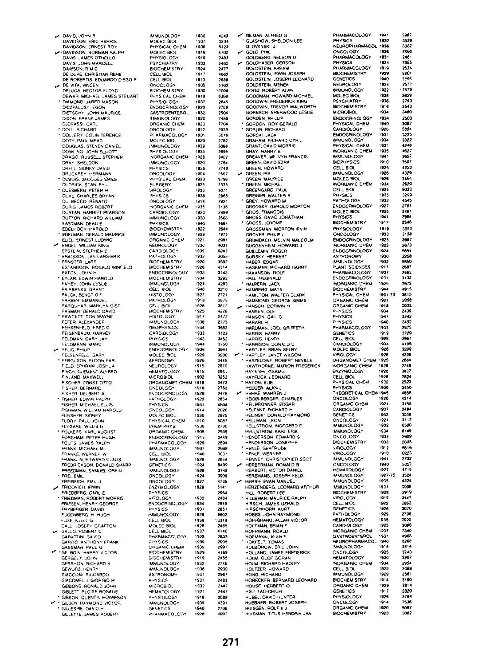DAVID JOHN F DAVIDSON, ERIC HARRIS<br>DAVIDSON, ERNEST ROY **DAVIDOON, NORMAN RALDH** DAVIS JAMES OTHELLO DAVIS JOHN MARCELL DAVIS, JOHN MANUELL<br>DAWSON, R M C<br>DE DUVE, CHRISTIAN RENE DE ROBERTIS, EDUARDO DIEGO P DE VITA, VINCENT T DE VITA, VINCENT T<br>DELUĈA, HECTOR FLOYD<br>DEWAR, MICHAEL JAMES STEUART DLWAR, WICHALL SAMES<br>DIAMOND, JARED MASON DICEFACUST, EGUN<br>DIETSCHY, JOHN MAURICE<br>DIXON, FRANK JAMES DJERASSI, CARL DOLL RICHARD DOLLERY COUN TERENCE DOUGLAS, STEVEN DANIEL DOWLING JOHN ELLIOTT DRAGO, RUSSELL STEPHEN DRAY SHELDON DRELL, SIDNEY DAVID DIGCARET PERMANNA DUESBERG, PETER H DULBECCO, RENATO NICTAN HARRIET DEADCON DUSTAN, HAHHET PEAHSUI EASTMAN, DEAN E FORLMAN, GERALD MALIRICE EDELMAN, GERALD MAY ENGEL WILLIAM KING EPSTEIN, STEPHEN E ERICSSON, JAN LARS-ERIK **ESTARROOK RONALD WINEIELD** EXTON, JOHN H EXLAR FOWIN HAROLD FAHEY. JOHN LESLIE **FAIRBANKS GRANT** FALCK, BENGT OF FARBER FMMANUEL FARQUHAR, MARILYN GIST<br>FARQUHAR, MARILYN GIST FAWCETT, DON WAYNE **EEHSENEELD ERED C** FERSENTELU, FREU C FELDMANN, MARC FELIG PHILIP FELSENFELD, GARY FERGUSON, ELDON EARL FINCH. CLEMENT ALFRED FINLAND, MAXWELL FISHER, BERNARD FISHER DELRERT A FISHER EDWIN RALPH FISHER, MICHAEL FL . IS FISHMAN, WILHAEL ELLIS<br>FISHMAN, WILLIAM HAROLD<br>FLEISHER, SIDNEY FLEISHER, SIDNEY<br>FLORY PAUL JOHN<br>FLYGARE, WILLIS H<br>FOLKERS KARL AUGUST<br>FORSHAM PETER HUGH FOUTS, JAMES RALPH FRANK MICHAEL M FRANKE, WERNER W FREDRICKSON, DONALD SHARP FREL FMH FREIREICH, EMIL **ERIDOVICH IRWA** FRIEDBERG, CARL E FRIEDMAN, ROBERT MORRIS FRYBERGER DAVID FUDENBERG H HUGH FUXE, KJELL G.<br>GALL, JOSEPH GRAFTON GALLO ROBERT C GALLO: HODEHT C.<br>GARATTINI, SILVIO<br>GARITO: ANTHONY FRANK GARTIO ANTHONY PHAN GERGELY, JOHN GERSHON RICHARD K GEWURZ, HENRY<br>GIACCON- RICCARDO GIACOMELLI GIORGIO M GIBBONS, RONALD JOHN GIBLETT ELOISE ROSALIE GIBLET ELUISE HUSALIE

GILLETTE, JAMES ROBERT

**MMUNOLOGY** nar<br>I 4243 MOLEC BIOL  $.011$  $722$ . . . .<br>1936  $5123$  $1000000000$ منمد 4702 PHYSIOLOGY  $2483$ PSYCHIATRY 1933 3462 **BOCHEMISTRY**  $\overline{24}$ ----<br>2477 CELL BIOL  $1917$ 4663  $CE \cup B \cap C$  $\frac{1}{1012}$ 2639 ONCOLOGY  $1915$ 5163 **BOCHEMICTOV**  $1020$  $\sim$ **PHYSICAL CHEM** 8368 1918 PHYSIOLOGY<br>ENDOCRINOLOGY . . . .<br>. . . . ----<br>2845 1920  $7758$ 1932 GASTROFNTEROL -<br>2504 **MMUNOLOGY** 7456 ORGANIC CHEM  $.927$  $7704$ ONCOLOGY 1912 2939 PHARMACOLOGY  $1931$ <br> $1920$  $\frac{3016}{2762}$ MOLEC BIOL **HALLING COL** 3096 1939 PHYSIOLOGY -----<br>2695 1035 INCROANIC CHEM  $.000$  $\frac{1}{2402}$  $rac{1}{2764}$ IMMUNOLOGY 1920 PHYSICS<br>ONCOLOGY 1926  $2748$ <br> $2597$  $.904$ PHYSICAL CHEM 1920<br>1935  $2798$ <br> $2535$ VIROLOGY  $.026$  $\frac{1000}{3071}$ PHYSICS . . . .<br>1938 2965 ONCOLOGY . . . .  $\frac{2900}{2921}$ <br>3136 NORGANIC CHEM 1935 CARDIOLOGY  $.020$  $2000$ **MMUNOLOGY** 930 . . . .<br>3560 **BUVEIOR**  $200$ پسې<br>922  $2644$ **BIOCHEMISTRY** MMLINOLOGY 1929 7975 ORGANIC CHEM 1921  $2981$ NEUROLOGY  $.920$  $\overline{1021}$ CARDIOLOGY 1935  $6243$ **PATHOLOGY**  $1012$ 3055 3592 **BIOCHEMISTRY** 920 BIOCHEMISTRY 1926 4314 ENDOCRINOLOGY  $3143$ <br> $3293$ 933 BOCHEMISTRY 1934 MMUNOLOGY 1924 4283 CELL BIOL san 3210 HISTOLOGY  $1927$  $2721$ PATHOL OGY 1918 2875 CELL BIOL  $1928$  $\frac{1}{26}$ 925 4226 HETOLOGY  $0.017$  $2472$ MMUNOLOGY 1938  $2775$ GEORHYSICS  $1924$ 3682 CARDIOLOGY . . . . .<br>. . . . -----<br>3123 3452<br>3750 PHYSICS  $.012$ 1944 **MMUNOLOGY** ENDOCRINOLOGY 1936 3961 AOLEC BIOL 929 3200 AFRONOMY 1926 3445 NEUROLOGY  $1915$ 2670 HEMATOLOGY 1915 2951 NEWATOLOGY<br>MICROBIOL<br>ORGANOMET CHEM  $-902$  $rac{1}{3252}$  $1918$ 3472 ONCOLOGY  $.918$ 2763 **ENDOCRINOLOGY** 1928 2476 PATHOLOGY  $1923$ 2654 PHYSICS 1931 4604 ONCOLOGY  $\frac{1}{2}$ 2620 MOLEC BIOL 1930 2925 PHYSICAL CHEM  $. 7.7$  $500$  $\frac{2790}{2790}$ 1936 ORGANIC CHEM  $.906$  $2000$  $3449$ ENDOCRINOLOGY  $1915$ PHARMACOLOGY 1929 2504 2504<br>2698<br>3031 MMUNOLOGY 1937 CELL BIOL  $.940$ 926 ...<br>2854 **GENETICS** 1924 9499 MMUNOLOGY 928 3148 ONCOLOGY 1924 3909 ONCOLOGY  $1927$ 4735 **ENZVMOLOGY**  $1920$ 5141 PHYSICS 2964 VIROLOGY 1932 2484  $2845$ FNDOCRINOLOGY 1934 PHYSICS  $1931$ 2851 MMUNOLOGY  $520$ ----<br>9602 CELL BIOL  $1938$ 13319 MOLEC BIOL 2465 1928 CELL BIOL 1937 PHARMACOLOGY 928 5933 **PHYSICS**<br>ORGANIC CHEM 1939 2935 2997<br>4169  $025$ BIOCHEMISTRY 1929 **RIOCHEMISTRY**  $1919$ 2455 MMUNOLOGY 1932 2746 **IMMUNOLOGY**<br>ASTRONOMY 1936 2930  $1931$  $2987$ PHYSICS  $1931$ 2483  $244.7$ MICROBIOL 1932 HEMATOLOGY  $1921$  $7447$ 2558 PHYSIOLOGY 1918 **MMUNOLOGY** 1935 4391 **GENETICS** 1940 2709 PHARMACOLOGY  $1928$ 4807

GILMAN, ALFRED G PHARMACOLOGY GLASHOW SHELDON LEE **PHYSICS** GLOWINSKI J **NELIROPHARMACOL** GOLD PHIL ONCOLOGY GOLDBERG, NELSON D<br>GOLDBERG, NELSON D **PHAPHACOLOGY** PHARMACOLOGY<br>PHYSICS<br>PHARMACOLOGY GOLDSTEIN, AVRAM **BIOCHEMISTRY** GOLDSTEIN, JOSEPH LEONARD **GENETICS** NEUROLOGY GOOD ROBERT ALAN MM INOLOGY GOODMAN, HOWARD MICHAEL MOLEC BIOL COODWIN, CREDERICK KING **PSYCHIATOV** GOODWIN, TREVOR WALWORTH **BIOCHEMISTON** GOODTHE THETON THETONIC **MICROBIOL** GORDEN, PHILLIP ENDOCRINOLOGY GORDON ROY GERALD PHYSICAL CHEM CARDIOLOGY GORLIN RICHARD GORDH, HICHAND<br>GORSKI, JACK<br>GRAHAM, RICHARD CYRIL ENDOCENDI OCH MMUNOLOGY GRAHAM, HICHARD CT.<br>GRANT, DAVID MORRIS PHYSICAL CHEM **INORGANIC CHEM** GRALL FRANT P. **MARIANO ORY** GREEN, DAVID EZRA **BIOPHYSICS** GREEN, HOWARD ceu por GREEN, IRA **MMUNOLOGY** GREEN, MAURICE<br>GREEN, MAURICE<br>GREEN, MICHAEL **MOLEC BIOL INORGANIC CHEM** GREENGARD PAUL CELL BIOL GREINER, WALTER A PHYSICS PATHOLOGY CDEV HOWARD M GRODSKY, GEROLD MORTON<br>GRODSKY, GEROLD MORTON ENDOCRINOLOGY **MOLEC BIOL** GROSS, DAVID JONATHAN **BUVEICE BIOCHEMISTRY** GROSS IFROME GROSSMAN, MORTON IRVIN PHYSIOLOGY GROVER PHILIP ONCOLOGY GRUVEN, FINGE L.<br>GRUMBACH, MELVIN MALCOLM ENDOCRINOLOGY GUGGENHEIM HOWARD J NORGANIC CHEM GUILLEMIN, ROGER ENDOCRINOLOGY GLOCKY HEBBCOT **ASTRONOMY** HABER, EDGAR MMUNOLOGY HAGEMAN RICHARD HARRY PLANT SCIENCES HAKANSON, ROLF<br>HAKANSON, ROLF PHARMACOLOGY HALPERN, JACK NORGANIC CHEM HAMBERS MATS **BIOCHEMISTRY** HAMBERG, MATS<br>HAMILTON, WALTER CLARK<br>HAMMOND, GEORGE SIMMS PHYSICAL CHEM ORGANIC CHEM HANSCH, CORWIN H ORGANIC CHEM PHYSICS HANSEN OLF HANSON, GAIL G<br>HANSON, GAIL G **DUVCICE** PHYSICS HARDMAN, JOEL GRIFFETH PHARMACOLOGY HARRIS HARRY GENETICS CELL BIOL<br>CARDIOLOGY HARRIS, HENRY HARRISON, DONALD HARTLEY, BRIAN SELBY **MOLEC BIOL** VIROLOGY ORGANOMET CHEM HASZELDINE ROBERT NEVILLE INORGANIC CHEM HAWTHORNE, MARION FREDERICK HAYAISHI OSAMII CELL BIOL<br>CELL BIOL<br>PHYSICAL CHEM HAYFLICK, LEONARD HAYON, ELIE HEEGER ALAN J **DUVEIES** THEORETICAL CHE HEIDELBERGER CHARLES ONCOLOGY HEILBRONNER, EDGAR ORGANIC CHEM HELEANT RICHARD H CARDIOLOGY HELINSKI, DONALD RAYMOND **GENETICS** HELLMAN LEON ONCOLOGY HELLMAN, LEON<br>HELLSTROM, INGEGERD E<br>HELLSTROM, KARL ERIK MMUNOLOGY MM INOLOGY HELLSTROM, KARL ERIK<br>HENDERSON, EDWARD S ONCOLOGY BIOCHEMISTRY HENLE, GERTRUDE VIROLOGY HENLE, WERNER VIROLOGY MMUNOLOGY HERRERMAN, RONALD B **ONCOLOGY** HERBERT, VICTOR DANIEL **HEMATOLOGY MMUNOLOGY** HERSH, EVAN MANUEL **IMMUNOLOGY** HERZENBERG LEONARD ARTHUR **MMINOLOGY** HILL, ROBERT LEE **BIOCHEMISTRY** HILL HODERT LEE<br>HILLEMAN, MAURICE RALPH<br>HIRSCH, JAMES GERALD VIROLOGY CELL BIOL HIRSCHHORN KURT **GENETICS** HOBBS, JOHN RAYMOND **PATHOLOGY** HOFFRRAND, ALLAN VICTOR **HEMATOLOGY** CARDIOLOGY HOFFMAN, BRIAN F HOFFMANN ROALD INORGANIC CHEM HOFMANN, ALAN GASTROENTEROL **HOLLADEN LENOL** HOLDOROW, ERIC JOHN MM INOLOGY ONCOLOGY HOLM, OLOF GORAN HEMATOLOGY HOLM, RICHARD HADLEY NORGANIC CHEM HOLTZER HOWARD CELL BIOL HONG, RICHARD MMUNOLOGY HORECKER, BERNARD LEONARD **BIOCHEMISTRY** HOUSE, HERBERT O GANIC CHEM GENETICS HUBEL, DAVID HUNTER **HYSIOLOGY** HUEBNER, ROBERT JOSEPH ONCOLOGY ORGANIC CHEM HUISMAN TITUS HENDRIK JAN

ran spét  $\frac{1}{1000}$ ----<br>35.30  $...$  $5000$ ەدە :<br>1936 -----<br>3958  $\overline{\cdots}$  $-261$  $\dddot{p}$ . . . .  $752$ , 929 ----<br>3201 taan.  $7000$  $\sum_{k=1}^{\infty}$ .....<br>25.77  $1922$  $17679$ . . . .<br>1938 2629  $1026$  $7701$  $1916$ -----<br>2543<br>3460 1934 -934 2503 . aan 3067<br>5894 - - - $.$ **SOON** . . . . 3322 1931 4248 -2<br>-<br>3657<br>-1935  $1041$ 1910  $\sum_{n=1}^{\infty}$ 1025 4993 . . . .<br>. . . . 4329 1926 3554 2620<br>8033 1934 1925  $1935$ 3299 1932  $-45$  $1927$ <br> $1925$  $\frac{1}{2751}$  $^{+10}_{-20}$ . . . . ---. . . .<br>1917 2546 1919 8693 1033 .....<br>3150 . . . .<br>2867 925  $1923$  $2673$ 924 -----<br>5844 laan 2268  $0.000$ -----<br>1260  $\frac{3000}{2007}$  $1017$  $\cdots$  $\frac{1}{2}$  $3132$ 1931  $1925$ -<br>2872 1944 4915 1931-73 3815 1921 2850  $\ldots$  $\frac{1}{2}$ 1934  $7.70$ دقق 3343 - 940 2492  $1933$  $2073$ 3729 919 1925 2661 . . . . 6 1926 3206 مضم ----<br>1208 26.64 925 1928  $72.8$  $3437$ 1920 2824<br>2824  $, 0.00$ 1932  $1935$  $\overline{u}$  $1945$ 4856 neor 4214 1921 1937 2484 1933 -<br>3036 1921  $3112$  $522$ eson  $6145$ 1934 , . . . 2609 1933 2605  $6816$  $1912$ 1910 6223 1941<br>1940  $7722$ 5027 , . . .  $17.6$ 1927-7 1524 1935 4354 1931 3569 926 29 I S 1919 3447 1922  $2803$ 3070 926 1929 2708 2026 1935  $1025$  $2000$  $7340$ 1937 . . . .<br>. . . .  $-0.007$ -----<br>3268  $3314$ 1918 i 925  $3743$ 1930 3207 , 934 2954<br>3069 1922 1929 2861 1914 3190 929 .<br>2014 1917 2820 1926 3764 75.30 1914 .<br>5007  $3082$ **BIOCHEMISTRY** 1923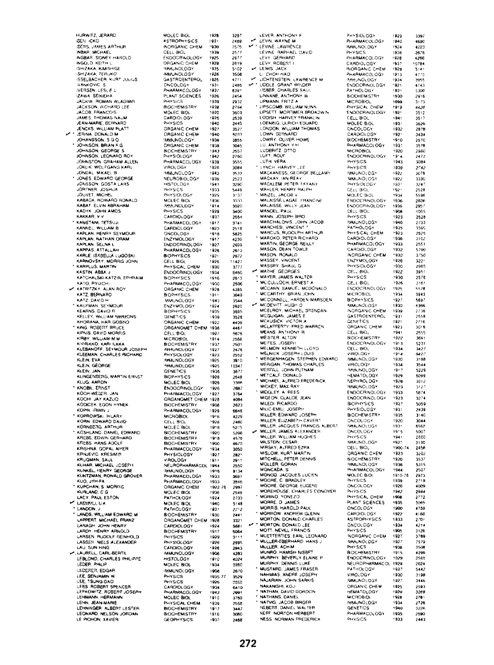HURWITZ, JERARD **SEN ICKO** SER LANES ARTHUR INBAH, MICHAEL<br>INGBAR, SIDNEY HAROLD<br>INGOLO KEITH L. **ISHIZAKA, KIMISHIGE<br>ISHIZAKA, KIMISHIGE** SPILANA, LUTONO<br>ISSELBACHER, KURT JULIUS *INANKOVIC, S* **INFORMATION** ITEMBER LEBER<br>IZAWA SEIKIEHA JACKIW ROMAN WLADIMS JACKSON, RICHARD LEE JACOR FRANCOIS JACCO PHANCOID<br>JAMES, THOMAS NAUM JEAN-MARIE, BERNARD<br>JENCKS, WILLIAM PLATT<br>JERINA, DONALD M<br>JOHNSON, BRIAN F G JOHNSON, GEORGE S JOHNSON, LEONARD ROY<br>JOHNSTON, GRAHAM ALLEN<br>JOKLIK, WOLFGANG KARL<br>JONDAL, MIKAEL B<br>JONES, EDWARD GEORGE JONSSON GOSTA LARS JOHTNER, JOSHUA<br>JOUVET, MICHEL<br>KABACK, HOWARD RONALD<br>KABAT, ELVIN ABRAHAM<br>KADYK, JOHN AMOS<br>KAKKAR, V V KAMETANI, TETSUJI KANNEL, WILLIAM B KAPLAN NATHAN ORAM KAPLAN, NATHAN U<br>KAPLAN, SELNA L KARLE, ISABELLA LUGOSKI KARNOVSKY, MORRIS JOHN KARPLUS, MARTIN KASTIN ABBA J KATCHALSKI-KATZIR, EPHRAIM KATO, RYUICHI **KATZ BERNARD** KATZ DAVID H KAUFMAN, SEYMOUR KEARNS, DAVID R **KEANNS, DAVID H<br>KELLEY, WILLIAM NIMMONS**<br>KHORANA, HAR GOBINO KING BORRDT BBLICE KIPNIS, DAVID MORRIS KIRBY WILLIAM M.M. KIHBY, WILLIAM M.M.<br>KIVIRIKKO, KARILIKKA<br>KLEBANOFF, SEYMOUR JOSEPH<br>KLEEMAN, CHARLES RICHARD<br>KLEIN, EVA KLEIN, GEORGE KLINGENZERG, MARTIN ERNST<br>KLINGENZERG, MARTIN ERNST KNOBIL, ERNST KOCHI JAY KAZUQ KODICEK EGON HYNEK KODICER, EGON FITH<br>KOPIN (RWIN J KORN EDWARD DAVID KORNBERG, ARTHUR<br>KOSHLAND, DAMEL EDWARD<br>KREBS, EDWIN GERHARD<br>KREBS, HANS ADOLF<br>KRISHNA, GOPAL AIYER KRNJEVIC, KRESIMP KUHAR, MICHAEL JOSEPH KUNKEL, HENRY GEORGE<br>KUNTZMAN, RONALD GROVER<br>KUO, JYH-FA<br>KUPCHAN, S. MORRIC<br>KURLAND, C. G.<br>LACY, PAUL ESTON  $\overline{a}$ LAEMAU, UK LANDON, J. LANDS, WILLIAM EDWARD M LAPPERT, MICHAEL PART<br>LARAGH, JOHN HENRY<br>LARDY, HENRY ARNOLD LARSEN, RUDOLF REINHOLD LAU, SUN HING LEBLOND, CHARLES PHILIPPE LEDER PHILIP LEDERER, EDGAR LEE, SENJAMIN W<br>LEE, TSUNG-DAO<br>LEES ROBERT SPENCER LEFKOWITZ, ROBERT JOSEPH LENN JEAN-MARIE LEHNINGER, ALBERT LESTER LEONARD, NELSON JORDAN

| MOLEC BIOL<br>ASTROPHYSICS                                           | 1928         | 3297<br>2469                      |
|----------------------------------------------------------------------|--------------|-----------------------------------|
| NORGANIC<br><b>CHEM</b>                                              | 1931<br>.930 | 7575                              |
| CELL BIOL<br>ENDOCRINOLOGY                                           | 1939         | 2577                              |
|                                                                      | 1925<br>1929 | 2977                              |
| ORGANIC CHEM<br><b>MMUNOLOGY</b>                                     | '925         | 2619<br>5102                      |
| MMUNOLOGY                                                            | 1926         | 3508                              |
| GASTROENTEROL                                                        | 1925         | 4771                              |
| ONCOLOGY<br>PHARMACOLOGY                                             | ۱93۱<br>1937 | 2485<br>839'                      |
| PLANT SCIENCES                                                       | 1926         | 2454                              |
| PHYSICS                                                              | 1939         | 2932                              |
| HOCHEMISTRY<br>MOLEC BIOL                                            | 1939         | 2784                              |
| CARDIOLOGY                                                           | 1920<br>1925 | 3603<br>2539                      |
| PHYSICS                                                              | 1940         | 2445                              |
| ORGANIC CHEM<br>ORGANIC CHEM                                         | 1927         | 3527                              |
| MMUNOLOGY                                                            | 1940<br>1938 | 5033<br>3955                      |
| ORGANIC CHEI                                                         | 1938         | 3045                              |
| <b>BIOCHEMISTRY</b>                                                  | 1943         | 557                               |
| PHYSIOLOGY                                                           | 1942<br>1939 | 2760                              |
| PHARMACOLOGY<br><b>VIROLOGY</b>                                      | 1926         | 3555<br>3084                      |
| NHULOGY<br>NEUROBIOLOGY<br>HISTOLOGY<br>HISTOLOGY                    | 1943         | .<br>3533                         |
|                                                                      | 1939         | 2523                              |
|                                                                      | 1941<br>1933 | 3290                              |
| NSTULUS<br>PHYSICS<br>PHYSIOLOGY<br>MOLEC BIOL<br>MMUNOLOGY          | 1925         | 5449<br>3.37                      |
|                                                                      | 1936         | 3333                              |
|                                                                      | 1914         | 3020                              |
| PHYSICS<br>CARDIOLOGY                                                | 1929<br>1937 | 3400<br>2554                      |
| PHARMACOLOGY                                                         | 1917         | 3741                              |
| CARDIOLOGY                                                           | 1923         | 2518                              |
| ONCOLOGY                                                             | 918 •        | 5825                              |
| ENZYMOLOGY<br>ENDOCRINOLOGY                                          | 1917<br>1927 | 4230<br>2699                      |
| PHARMACOLOGY                                                         | 1926         | 2613                              |
| BIOPHYSICS<br>GELL BIOL                                              | 1921         | 2872                              |
|                                                                      | 1926         | 11427                             |
| PHYSICAL CHEM<br>ENDOCRINOLOGY                                       | 1930<br>1934 | 3777<br>5460                      |
| <b>BIOPHYSICS</b>                                                    | 1916         | 2613                              |
| PHARMACOLOG<br>ORGANIC CHEM                                          | 1930         | 2506                              |
|                                                                      | 1928         | 4385                              |
| BIOPHYSICS                                                           | 1911<br>1943 | 3049<br>3544                      |
| SIGHTHONG                                                            | 1924         | 2620                              |
|                                                                      | 1935         | 3695                              |
| ORGANIC CHE                                                          | 1939         | 3528                              |
|                                                                      | 1922<br>1938 | 4409<br>4467                      |
| ORGANOMET CHEM                                                       | 1927         | 5676                              |
| <b>MELL BOWL<br/>BIOCHEMISTRY</b><br>BIOCHEMISTRY<br>BIOLOGY         | 1914         | 2558                              |
|                                                                      | 1937<br>1927 | 2501<br>2476                      |
| PHYSIOLOGY                                                           | 1923         | 2552                              |
| MMUNOLOGY                                                            | 1925         | 3910                              |
| <b>MMUNOLOGY</b>                                                     | 1925         | 10347                             |
| GENETICS                                                             | 1936<br>1928 | 3677<br>2548                      |
| <b>BIOPHYSICS</b><br>MOLEC BIOL                                      | 1926         | 330R                              |
| ENDOCRINOLOGY                                                        | 1926         | 2887                              |
| PHARMACOLOGY<br>ORGANOMET CH                                         | 1927         | 3764<br>4084                      |
| tEM<br><b>BIOCHEMISTRY</b>                                           | 1928<br>1908 | 2623                              |
| PHARMACOLOGY<br>MICROBIOL                                            | 1929         | 6646                              |
|                                                                      | 1916         | 4229                              |
| <b>CELL BIOL<br/>MOLEC BIOL</b>                                      | 1928<br>1918 | 2480<br>5275                      |
|                                                                      | 1920         | 5206                              |
| …uuuu biul<br>BIOCHEMISTRY<br>BIOCHEMISTRY                           | 1918         | 4578                              |
| BIOCHEMISTRY                                                         | 1900         | 4670                              |
| PHARMACO<br><b>LOGY</b><br>PHYSIOLOGY                                | 1934<br>1927 | 3050<br>2821                      |
| VIROLOGY                                                             | 1911         | 29 1 1                            |
| NEUROPHARMACOL                                                       | 194<br>â     | 2550                              |
| PHARMACOLOGY                                                         | 1916<br>1933 | 9134<br>3691                      |
| ٥ü                                                                   | 1933         | 3846                              |
| PHARMACOLOG<br>DRGANIC CHEM<br>MOLEC BIOL<br>PATHOLOGY<br>MOLEC BIOL | 1922-76      | 2997                              |
|                                                                      | 1936<br>1924 | 2548                              |
|                                                                      | 1940         | 2703<br>5148                      |
|                                                                      | 1931         | 2712                              |
| HOLLO BOL<br>PATHOLOGY<br>BIOCHEMISTRY<br>ORGANOMET CHEM             | 1930         | 2441                              |
|                                                                      | 1926         | 3321                              |
| CARDIOLOGY<br>BIOCHEMISTE<br>X<br>5<br>۹                             | 1924<br>1917 | 5681<br>5064                      |
| PHYSICS                                                              | 1929         | 3111                              |
| PHYSIOLOGY                                                           | 1926         | 2995                              |
| CARDIOLOGY<br><b>MMUNOL</b><br>OG)                                   | 1926         | 2943                              |
| <b>HISTOLOGY</b>                                                     | 1906<br>1910 | 4283<br>4024                      |
| MOLEC BIOL                                                           | 1934         | 1980                              |
| <b>MMUNOLOGY</b>                                                     | 1906         | 2670                              |
| PHYSICS                                                              | 1935-77      | 3529                              |
| PHYSICS<br>CARDIOLOGY                                                | 1926<br>1934 | 1068<br>$\ddot{\phantom{0}}$<br>6 |
| PHARMACOLOGY                                                         | 1943         | 2991                              |
| MOLEC BIOL                                                           | 1910         | 3780                              |
| <b>PHYSICAL CHEM</b>                                                 |              | 2568                              |
|                                                                      | 1939         |                                   |
| <b>BIOCHEMISTRY</b><br>BIOCHEMISTRY                                  | 1917<br>1916 | 3447<br>3080                      |

| LEVER, ANTHONY F                                                                    | PHYSIOLOGY                             | 1929             |
|-------------------------------------------------------------------------------------|----------------------------------------|------------------|
| LEVIN, WAYNE M                                                                      | PHARMACOLOGY                           | 1940             |
| LEVINE, LAWRENCE<br>LEVINE, RAPHAEL DAVID                                           | IMMUNOLOGY                             | 1924             |
|                                                                                     | PHYSICS                                | 1936             |
| LEVY, GERHARD<br>LEVY, ROBERT I                                                     | PHARMACOLOGY                           | 1928             |
|                                                                                     | CARDIOLOGY                             | 1937             |
| LEWIS, JACK<br><b>U. CHOH HAO</b>                                                   | INORGANIC CHEM<br>PHARMACOLOGY         | 1928<br>1913     |
|                                                                                     | MAUNOLOGY                              | 1934             |
| JOHTENSTEIN, LAWRENCE M.                                                            | <b>ENDOCRINOLOGY</b>                   | 1921             |
| <b>UEBER, CHARLES SAUL</b>                                                          | <b>PATHOLOGY</b>                       | 193 <sub>2</sub> |
| LINNANE, ANTHONY W                                                                  | <b>BIOCHEMISTRY</b>                    | 1930             |
| LIPMANN, FRITZ A                                                                    | <b>MICROBIOL</b>                       | 1899             |
| <b>LIPSCOMB. WILLIAM NUNN</b>                                                       | PHYSICAL CHEM                          | 1919             |
| LIPSETT MORTIMER BROADWIN                                                           | <b>ENDOCRINOLOGY</b>                   | 1921             |
| LODISH, HARVEY FRANKLIN                                                             | <b>CELL BIOL</b>                       | 1941             |
| LOENING, ULRICH EDUARD                                                              | MOLEC BIOL                             | 1931             |
| LONDON, WILLIAM THOMAS                                                              | ONCOLOGY                               | 1932             |
| LOWN BERNARD                                                                        | CARDIOLOGY                             | 192.             |
| LOWRY, OLIVER HOWE                                                                  | <b>BIOCHEMISTRY</b>                    | 1910             |
| LU, ANTHONY Y H<br>LUDERITZ, OTTO                                                   | PHARMACOLOGY                           | 1937             |
|                                                                                     | <b>MICROBIOL</b><br>ENDOCRINOLOGY      | 1920<br>1914     |
| LUFT ROLF<br>LUTH VERA                                                              | PHYSICS                                | 1943             |
| LYNCH, HARVEY LEE                                                                   | PHYSICS                                | 1939             |
| MACKANESS, GEORGE BELLAMY                                                           | IMMUNOLOGY                             | 1922             |
| MACKAY, IAN REAY                                                                    | <b>MMUNOLOGY</b>                       | 1922             |
| MACKLEM, PETER TIFFANY                                                              | PHYSIOLOGY                             | 193.             |
| MAHLER, HENRY RALPH                                                                 | <b>CELL BIOL</b>                       | 192.             |
| MAIZEL, JACOB V                                                                     | MOLEC BIOL                             | 1934             |
| MALAISSE-LAGAE FRANCINE                                                             | ENDOCRINOLOGY                          | 1936             |
| MALAISSE, WILLY JEAN                                                                | ENDOCRINOLOGY                          | 1936             |
| MANDEL, PAUL                                                                        | CELL BIOL                              | 1908             |
| MANN, JOSEPH BIRD<br>MARCHALONIS, JOHN JACOB                                        | PHYSICS<br><b>IMMUNOLOGY</b>           | 1923<br>1940     |
| MARCHESI, VINCENT *                                                                 | PATHOLOGY                              | 1935             |
| MARCUS, RUDOLPH ARTHUR                                                              | PHYSICAL CHEM                          | .923             |
| <b>MAROKO, PETER RICHARD</b>                                                        | CARDIOLOGY                             | .936             |
| MARTIN, GEORGE REILLY                                                               | <b>PHARMACOLOGY</b>                    | 1933             |
| MASON, DEAN TOWLE                                                                   | CARDIOLOGY                             | 1932             |
| MASON RONALD                                                                        | <b>INORGANIC CHEM</b>                  | 1930             |
| MASSEY, VINCENT                                                                     | ENZYMOLOGY                             | 1926             |
|                                                                                     | PHYSIOLOGY                             | 1930             |
| MATHE GEORGES                                                                       | CELL BIOL                              | 1922             |
| * MAYER, JAMES WALTER                                                               | PHYSICS                                | 1930             |
| <b>MCCULLOCH, ERNEST A</b>                                                          | CELL BIOL                              | 1926             |
| MCCANN, SAMUEL MCDONALD                                                             | ENDOCRINOLOGY                          | 1925             |
| <b>MCCARTHY BRIAN JOHN</b>                                                          | MICROBIOL                              | 1934             |
| MCCONNELL, HARDEN MARSDEN.<br><b>MCDEVITT</b>                                       | <b>BIOPHYSICS</b><br><b>IMMUNOLOGY</b> | 1927<br>1930     |
| MCDEVITT HUGH O<br>MCELROY, MICHAEL BRENDAN                                         | INORGANIC CHEM                         | 1939             |
|                                                                                     | <b>GASTROENTEROL</b>                   | 1931             |
| MCGUIGAN, JAMES E<br>MCKUSICK VICTOR A                                              | CENETICS                               | 1821             |
| MCLAFFERTY, FRED WARREN                                                             | ORGANIC CHEM                           | 1923             |
| <b>MEANS ANTHONY R</b>                                                              | <b>CELL BIOL</b>                       | 1941             |
| MEISTER, ALTON                                                                      | <b>BIOCHEMISTRY</b>                    | 1922             |
| MEITES, JOSEPH                                                                      | <b>ENDOCRINOLOGY</b>                   | 1913             |
| MELMON. KENNETH LLOYD                                                               | CELL BIOL                              | 1934             |
| MELNICK JOSEPH LOUIS<br>MERGENHAGEN, STEPHEN EDWARD                                 | <b>VIROLDGY</b><br><b>IMMUNOLOGY</b>   | 1914<br>1930     |
| MERIGAN, THOMAS CHARLES                                                             | <b>VIROLOGY</b>                        | 1934             |
|                                                                                     | <b>MMUNOLOGY</b>                       | 1917             |
| MERRILL, JOHN PUTNAM                                                                | <b>HEMATOLOGY</b>                      | 1929             |
| <b>WICHAEL, ALFRED FREDERICK</b>                                                    | NEPHROLOGY                             | 1928             |
| MICKEY, MAX RAY                                                                     | <b>IMMUNOLOGY</b>                      | 1923             |
| MIDGLEY, A REES                                                                     | ENDOCFINOLOGY                          | 1933             |
| MIGEON, CLAUDE JEAN                                                                 | ENDOCRINOLOGY                          | 1923             |
| MILEDI, RICARDO                                                                     | <b>BIOPHYSICS</b>                      | 1927             |
| MILIC-EMILI, JOSEPH                                                                 | PHYSIOLOGY                             | 1931             |
| MILLER, EDWARD JOSEPH                                                               | <b>BIOCHEMISTRY</b>                    | 1935             |
| MILLER, ELIZABETH CAVERT                                                            | ONCOLOGY                               | 1920             |
| MILLER, JACQUES FRANCIS ALBERT<br>MILLER, JAMES ALEXANDER<br>MILLER, WILLIAM HUGHES | <b>WAILNOLOGY</b><br>ONCOLOGY          | 193'<br>19.5     |
|                                                                                     | PHYSICS                                | 1941             |
| MILSTEIN, CESAR                                                                     | MMUNOLOGY                              | 1927             |
| MIRSKY, ALFRED EZRA                                                                 | CELL BIOL                              | 1900-74          |
| MISLOW, KURT MARTIN                                                                 | <b>ORGANIC CHEM</b>                    | 1923             |
| MITCHELL, PETER DENNIS                                                              | <b>BIOCHEMISTRY</b>                    | 1920             |
| <b>MOLLER, GORAN</b>                                                                | <b>MMUNOLOGY</b>                       | 1936             |
| <b>MONCADA, S</b>                                                                   | <b>PHARMACOLOGY</b>                    | 1944             |
| MONOD, JACQUES LUCIEN                                                               | MOLEC BIOL                             | 1910-76          |
| MOORE. GEORGE EUGENS                                                                | PHYSICS<br>ONCOLOGY                    | 1939<br>1920     |
| MOREHOUSE, CHARLES CONOVER                                                          | PHYSICS                                | 1942             |
| MORINO, YONEZO                                                                      | PHYSICAL CHEM                          | 1908             |
| MORRE, D. JAMES                                                                     | PLANT SCIENCES                         | 1935             |
| MORRIS, HAROLD PAUL                                                                 | <b>ONCOLOGY</b>                        | 1900             |
| MORROW ANDREW GLENN                                                                 | CARDIOLOGY                             | 1922             |
| MORTON, DONALD CHARLES                                                              | <b>ASTROPHYSICS</b>                    | 1933             |
| MORTON.<br>DOMALD LEE                                                               | <b>ONCOLDGY</b>                        | 1934             |
| MOTT, NEVILL FRANCIS                                                                | PHYSICS                                | 1905             |
| MUETTERTIES, EARL LEONARD                                                           | NORGANIC CHEM                          | 1927             |
| MULLER-EBERHARD HANS J                                                              | <b>MAUNOLOGY</b>                       | 1927             |
| <b>MULLER, ACHIM</b>                                                                | PHYSICS                                | 1938             |
| MUNRO. HAMISH NISBET                                                                | <b>BIOCHEMISTRY</b>                    | 1915             |
| MURPHY, BEVERLY ELAINE P<br>MURPHY, DENNIS LUKE                                     | <b>ENDOCRINOLOGY</b>                   | 1929             |
| MUSTARD. JAMES FRASER                                                               | NEUROPHARMACOL 1929                    | ,921             |
|                                                                                     | PATHOLOGY<br>VIROLDGY                  | 1930             |
| NAHMIAS, ANDRE JOSEPH<br>NAJARIAN, JOHN SARKIS                                      | <b>MMUNOLOGY</b>                       | 1927             |
| <b>NAKANISHI, KOJI</b>                                                              | ORGANIC CHEM                           | 1925             |
| NATHAN, DAVID GORDON                                                                | <b>HEMATOLOGY</b>                      | 1929             |
| NATHANS, DANIEL                                                                     | <b>MICROBIOL</b>                       | 1928             |
| <b>NATVIG, JACOB BIRGER<br/>NEBERT, DANIEL WALTER</b>                               | <b>IMMUNOLOGY</b>                      | 1934             |
|                                                                                     | <b>GENETICS</b>                        | 1940             |
| <b>NEEF</b><br>NORTON HEBRERT                                                       | PHARMACO, OGY                          | 1935             |

 $3392$ 

 $1600$ 

 $1223$ 2676

دی.ں<br>4266

 $0.784$ 

 $5141$ 

iin

 $3955$ 

4743

 $1200$ 

 $7916$ 

 $5.73$ 

 $4420$ 

 $3512$ <br> $3517$ 

 $3626$ <br> $2878$ 

**DADA** 2570

 $7578$ 

2980

 $2472$ 

3084

 $\frac{1}{2}$ 

- . . . .<br>3078

inan

 $\frac{1}{3247}$ 

 $75.28$ 

-----<br>5596

3606

 $2957$ 

aas.

2528

2733

 $7500$  $2525$ 

 $3102$ 

 $2551$ 

5200

 $3750$ 

 $322$ 

2965

1951

2576

 $3.683$ 5528

1943

5697

 $4366$ 

2736

 $550$ 

 $\frac{1}{2716}$ 

 $3018$ 

 $2555$ <br>369:

 $5231$  $3427$ 

....  $3188$ 

1544 5229

5099  $\frac{1}{301}$ 

 $3127$ 5874

3274

5059

2419

 $3140$ 

 $rac{1}{2}$ 

 $5562$ 

5007

2860 3130 2458

3202  $3537$ 

5315  $2507$ 

2973  $2719$ 

 $\frac{1}{1009}$ 2944

 $\frac{277}{2772}$ 

**TORS** 

 $4759$ 

a i sol  $2701$ 

 $4214$ 

 $3128$ 

3789<br>7579

3508<br>4299

 $2565$ 

 $2624$ 

5442

 $3,98$ 

3446

2593

 $\frac{1}{2269}$ <br>2781

2726<br>3226

2590

2443

 $1935$ <br> $1933$ 

PHARMACOLOGY

**PHYSICS** 

NESS NORMAN FREDERICK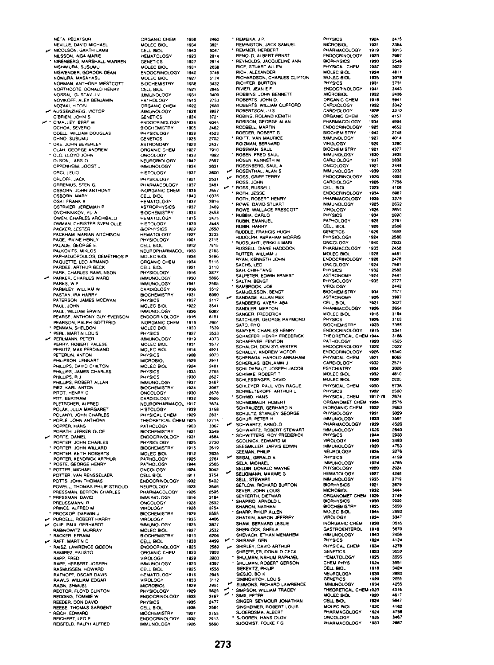NETA PEDATSUR NEVILLE, DAVID MICHAEL NICOLSON, GARTH LAMB NILSSON, INGA MARIE NIRENBERG, MARSHALL WARREN NISHIMURA, SUSUMU NISWENDER GORDON DEAN NOMURA, MASAYASU NORMAN ANTHONY WESTCOTT NORTHCOTE, DONALD HENRY **NOSSAL, GUSTAV JN** NOVIKOFF, ALEX BENJAMIN NOZAKI HITOSI NUSSENZWEIG, VICTOR O'BRIEN, JOHN S O'MALLEY, BERT W OCHOA SEVERO ODELL, WILLIAM DOUGLAS OKE, JOHN BEVERLEY OLAH, GEORGE ANDREW OLD, LLOYD JOHN OLSON, LARS O OPPENHEIM, JOOST J ORCI, LELIO ORLOFF, JACK ORRENIUS, STEN G OSBORN, JOHN ANTHONY OSKI, FRANK A OSTRIKER, JEREMIAH P OVCHINNIKOV, YU A OWEN, CHARLES ARCHIBALD OWMAN, CHRISTER SVEN OLLE PACKER, LESTER PACKHAM, MARIAN AITCHISON PAGE, IRVINE HEINLY PALADE, GEORGE E.<br>PALKOVITS, MIKLOS PAPHADJOPOULOS, DEMETRIOS P PAQUETTE, LEO ARMANO PARDEE, ARTHUR BECK PARK, CHARLES RAWLINSON PARKER, CHARLES WARD PARKS, W.P. PARMLEY, WILLIAM W PASTAN, IRA HARRY PATERSON JAMES MCEWAN PAUL, JOHN PAUL, WILLIAM ERWIN PEARSE, ANTHONY GUY EVERSON PENMAN, SHELDON<br>PERL, MARTIN LOUIS PERLMANN, PETER<br>PERLMANN, PETER<br>PERRY, ROBERT PALESE ے PERUTZ, MAX FERDINAND PETERLIN, ANTON PHILIPSON LENNART PHILLIPS, DAVID CHILTON PHILLIPS, JAMES CHARLES HILLIPS, R.J FORLIFS, HU<br>PHILLIPS, ROBERT ALLAN<br>PIEZ, KARL ANTON<br>PITOT, HENRY C PITT RERTRAM PLETSCHER, ALFRED POLAK, JULIA MARGARET<br>POLANYI, JOHN CHARLES POPLE. JOHN ANTHONY POPPER, HANS POBATH JERKER OLDE PORTE, DANIEL PORTER, JOHN CHARLES<br>PORTER, JOHN WILLARD<br>PORTER, KEITH ROBERTS PORTER, KENDRICK ARTHUR POSTE, GEORGE HENRY POTTER, MICHAEL POTTER, VAN RENSSELAER POTTS. JOHN THOMAS POWELL, THOMAS PHILIP STROUD RESSMAN, BERTON CHARLES PRESSMAN, DAVID PREUSSMANN, R<br>PRINCE, ALFRED M PROCKOP, DARWIN J PURCELL, ROBERT HARRY OUIE, PAUL GERHARDT RABINOWITZ, MURRAY **RACKER FERAIM RAFF, MARTIN C** ے RAISZ, LAWRENCE GIDEON RAMIREZ, FAUSTO RAPP, FRED RAPP, HERBERT JOSEPH **RASMUSSEN, HOWARD RAWLS, WILLIAM EDGAR**<br>RAZIN, SHMUEL BECTOR FLOYD CUNTON REDDING, TOMMIE W REEDER, DON DAVID<br>REESE, THOMAS SARGENT REICH, EDWARD

REISFELD, RALPH ALFRED

ORGANIC CHEM 1938 2460 MOLEC BIOL 1934 3821 CELL BIOL 1943 6047 HEMATOLOGY 1923  $2914$ CENETICS  $1027$  $7014$ MOLEC BIOL 1931 2638 **ENDOCRINOLOGY** 1940 1749 MOLEC BIOL . . . .<br>1927  $5174$ **BIOCHEMISTRY** 1938 3432 CELL BIOL 2945 1921 **MMUNOLOGY** 1931 3409 PATHOLOGY  $1913$ 2753 ORGANIC CHEM 1922<br>1928 2680  $3957$ MMUNOLOGY **GENETICS**  $1034$ 3725 ENDOCRINOLOGY 1936<br>1905 6044 **BIOCHEMISTRY** 2462 PHYSIOLOGY 1929 4523 **GENETICS** 1928 2702 ASTRONOMY 1928 2437 ORGANIC CHEM 1927 7910 ONCOLOGY 1933 NEUROBIOLOGY 1942 2597 MMUNOLOGY 1934 3631 **HISTOLOGY** 1937 3600 **PHYSIOLOGY**  $1821$ 2531 PHARMACOLOGY 1937 2481 INORGANIC CHEM 1939  $2557$ CELL BIOL 1940 10376 HEMATOLOGY<br>ASTROPHYSICS 1932  $2816$ 2459 1937 **BIOCHEMISTRY** 1934 2458 **HEMATOLOGY** 1915 2475 HISTOLOGY<br>BIOPHYSICS 3448<br>2650 1939 1929 HEMATOLOGY<br>PHYSIOLOGY  $1927$ 3233  $1901$  $2715$ CELL BIOL<br>NEUROPHARMACOL 1912 7915 1933 2783 MOLEC BIOL 1934 3496 ORGANIC CHEM  $5116$ 1934 CELL BIOL  $1921$  $3110$ PHYSIOLOGY 1916 3877 **IMMUNOLOGY** 1930 3896 MMUNOLOGY  $1941$  $7588$  $3512$ CARDIOLOGY 1936 **BIOCHEMISTRY**  $1931$ 8090  $3117$ PHYSICS 1937 MOLEC BIO , 922 354 **IMMUNOLOGY** 1936 6082 ENDOCAINOLOGY 1916  $6151$ **INORGANIC CHEM** 1919 2901 MOLEC BIOL 1930 7539 PHYSICS 1927 3533 1919<br>1931 **MMUNOLOGY** 4373 MOLEC BIOL 3577 MOLEC BIOL  $1014$  $1021$ PHYSICS  $3073$ 1908 MICROBIOL 1929 2911  $1924$ MOLEC BIOL 2481 1933<br>1930 PHYSICS 2763 PHYSICS **MMUNOLOGY** 1937 2487 BIOCHEMISTRY 1924<br>1930 3067<br>2678 CARDIOLOGY 1932 2626 NEUROPHARMACOL  $3674$ 1917 HISTOLOGY<br>PHYSICAL CHEM 1039 315A 1929 2831 THEORETICAL CHEM 1925  $12714$ PATHOLOGY 3367 1903 **BIOCHEMISTRY**  $1921$ 3349 ENDOCRINOLOGY  $(93)$ 4584 PHYSIOLOGY 1925 2730 **BIOCHEMISTRY** 1915 2619 MOLEC BIOL<br>PATHOLOGY 1912<br>1925 2635  $2761$ PATHOLOGY 1944 2565 ONCOLOGY 1924 3042  $rac{3754}{3754}$ CELL BIOL 1911 ENDOCRINOLOGY 1932 5402 **NEUROLOGY** 1923 3646 HARMACOLOGY 1926 2595 IMMUNOLOGY 1916 3184 1928<br>1928 2692<br>3754 ONCOLOGY **VIROLOGY BIOCHEMISTRY** 1925 5555 4406 VIROLOGY 1935 1925 **MMUNOLOGY** 3877 2532 MOLEC BIOL **BIOCHEMISTRY** 1913 6206 1938 4499 CELL BIOL ENDOCRINOLOGY 1925<br>1923 2569<br>2999 ORGANIC CHEM 3903 VIROLOGY 1929 **IMMUNOLOGY** 4397 1923 CELL BIOL  $1925$ 4558 1916 2945 1933<br>1929 VIROLOGY  $3112$ **MICROBIOL**  $2451$ PHYSIOLOGY<br>ENDOCRINOLOGY 1929 3623 1933 2407 PHYSICS 1935 2477 CELL BIOL 1935 2584 BIOCHEMISTRY<br>ENDOCRINOLOGY 1927 2753  $1032$ 2913 **IMMUNOLOGY** 1926 3680

\* REMEIKA, J.P. REMINGTON, JACK SAMUEL REMMER, HERBERT RENOLD, ALBERT ERNST **REYNOLDS JACQUELINE ANN** RICE, STUART ALLEN **RICH ALEXANDER** RICH, ALEXANDER<br>RICHARDSON, CHARLES CLIFTON<br>RICHTER, BURTON RIVIER, JEAN E.F HIVIEH, JEAN E.P.<br>ROBBINS, JOHN BENNETT<br>ROBERTS, JOHN D.<br>ROBERTS, WILLIAM CLIFFORD ROBERTSON, J.I.S.<br>ROBINS, ROLAND KENITH ROBISON, GEORGE ALAN ROEDER, ROBERT G.<br>ROEDER, ROBERT G. ROIZMAN, BERNARD<br>ROSEMAN, SAUL ROSEN, FRED SAUL ROSENBERG, SAUL A ROSENTHAL, ALAN S ROSS, JOHN ROSS RUSSELL · ROTH, JESSE BOTH BOBERT HENRY ROWE, DAVID STUART BOWE, WALLACE PRESCOTT RUBBIA, CARLO RUBIN, EMANUEL **RUBIN, HARRY BUDDLE FRANCIS HUGH RUDDLE: FRANCIS HOGH.**<br>RUDGLPH, ABRAHAM MORRIS<br>RUOSLAHTI, ERKKI ILMARI RUSSELL, DIANE HADDOCK **BUTTER, WILLIAM J.** RYAN, KENNETH JOHN SACHS LEO SAUMS, LEU<br>SAH, CHIH-TANG<br>SALPETER, EDWIN ERNEST SALTIN, BENGT<br>SAMBROOK, JOE SAMUELSSON, BENGT SANDAGE, ALLAN REX SANDBERG, AVERY ABA SANDLER, MERTON SANGER FREDERICK SATCHLER, GEORGE RAYMOND SATO, RYO SAWYER, CHARLES HENRY SCHAEFER, HENRY FREDERICK SCHAFFNER, FENTON SCHALCH, DON SYLVESTER<br>SCHALLY, ANDREW VICTOR SCHERAGA, HAROLD ABRAHAM SCHERLAG, BENJAMIN J<br>SCHILDKRAUT, JOSEPH JACOB SCHIMKE, ROBERT T SCHLEYER, PAUL VON RAGUE<br>SCHMELTEKOPF ARTHUR L. SCHMID, HANS SCHMIDBAUR, HUBERT SCHRAUZER, GERHARD N SCHULTZ, STANLEY GEORGE SCHUR, PETER H SCHWARTZ, ARNOLD SCHWARTZ, ROBERT STEWART<br>SCHWITTERS, ROY FREDERICK SCOLNICK, EDWARD M<br>SEEGMILLER, JARVIS EDWIN **GEEMAN, PHILIP** SEGAL GERALD A SELA, MICHAEL SELDIN, DONALD WAYNE SELIGMANN, MAXIME G SELL STEWNHI<br>SETLOW, RICHARD BURTON<br>SEVER, JOHN LOUIS<br>SEVERTH, DIETMAR<br>SHAPIRO, ARNOLD L SHARON, NATHAN<br>SHARP, PHILIP ALLEN SHATKIN, AARON JEFFREY SHAW, BERNARD LESLIE SHERLOCK, SHEILA SHEVACH, ETHAN MENAHEM  $\overline{\phantom{a}}$ SHIRANE, GEN SHIRLEY, DAVID ARTHUR SHREFFLER, DONALD CECIL SHULMAN, NAHUM RAPHAEL<br>SHULMAN, ROBERT GERSON SIEKEVITZ PHILIP SIESJO, BO K<br>SIESJO, BO K<br>SIMINOVITCH, LOUIS SIMINOVITCH, LOUIS<br>SIMMONS, RICHARD LAWRENCE<br>C : SIMPSON, WILLIAM TRACEY<br>C : SIMS, PETER SINGER, SEYMOUR JONATHAN SINSHEIMER, ROBERT LOUIS SJOGREN, HANS OLOV<br>SJOQVIST, FOLKE F G

| 1<br><b>YSICS</b>                                                                | 192             | 2475          |
|----------------------------------------------------------------------------------|-----------------|---------------|
| <b>ICROBIOL</b><br>h<br>OGY                                                      | 1931            | 3354          |
| <b>IARMACOL</b><br>NDOCRINOLOGY                                                  | 1919<br>1923    | 3013<br>2997  |
| <b>IOPHYSICS</b>                                                                 | 1930            | 2548          |
| <b>HYSICAL CHEM</b>                                                              | : 932           | 3622          |
| <b>IOLEC BIOL<br/>IOLEC BIOL<br/>HYSICS</b>                                      | 1924            | 4811          |
| <b>IYSICS</b>                                                                    | 1935<br>1931    | 3078<br>3731  |
| NDOCRINOLOGY                                                                     | 1941            | 2443          |
| <b>IICROBIOL</b>                                                                 | 1932            | 2436          |
|                                                                                  | 1918            | 5941          |
| HOTIONS<br>ARDIOLOGY<br>ARDIOLOGY                                                | 1932            | <br>3342      |
|                                                                                  | 1928<br>1926    | 3310          |
| <b>RGANIC CHEM<br/>HARMACOLOGY</b>                                               | 1934            | 4157<br>4994  |
| NDOCRINOLOGY                                                                     | 1925            | 4652          |
| <b>IOCHEMISTR</b>                                                                | 1942            | 2748          |
| <b>MUNOLO</b><br>٥G٧                                                             | 1927            | 4014          |
| <b>IROLOGY</b>                                                                   | 1929<br>1921    | 3290<br>4377  |
| <b>IOCHEMISTRY</b><br><b>MMUNOLOGY</b>                                           | 1930            | 4939          |
| ARDIOLOG                                                                         | 1937            | 2838          |
| MCOLOGY                                                                          | 1927            | 2448          |
| MMUNOLOGY                                                                        | 1939            | 3932          |
| NDOCRINOLOGY                                                                     | 1920<br>1928    | 4853          |
| ARDIOLOGY                                                                        | 1326            | 7756<br>4100  |
| NDOCRINOLOG'                                                                     | 1934            | 6987          |
| <b>HARMACOLOGY</b>                                                               | 1939            | 3276          |
| MMUNOLOGY                                                                        | 1925            | 2692          |
| 1<br><b>IYSICS</b>                                                               | 1926<br>1934    | \$555<br>2990 |
| ATHOLOGY                                                                         | 1928            | 2761          |
| ELL BIOL                                                                         | 1926            | 2508          |
| ENETICS                                                                          | 1929            | 2683          |
| <b>HYSIOI</b><br>.OGY                                                            | 1924            | 2580          |
| <b>INCOLOGY</b><br>OGY                                                           | 1940<br>1935    | 2003<br>2458  |
| HARMACOL<br>IOLEC BIOL                                                           | 1926            | 4481          |
| NDOCRINOL<br>OG Y                                                                | 1926            | 2478          |
| <b>NCOLOGY</b>                                                                   | 1924            | 7561          |
| <b>HYSICS</b>                                                                    | 1932            | 2583          |
| <b>STRONOM</b><br>r<br><b>HYSIOLOGY</b>                                          | 1924<br>1935    | 2441<br>2777  |
| <b>IROLOG</b>                                                                    |                 | 2442          |
| Ю¢<br><b>IEMISTRY</b>                                                            | 1934<br>1926    | 7377          |
| STRONOMY                                                                         |                 | 3997          |
| ELL BIOL<br>HARMACOLOGY                                                          | 1921<br>1926    | 3027<br>2664  |
|                                                                                  | 1918            | 3194          |
| IOLEC BIOL<br>HYSICS                                                             | 1926            | 3103          |
| <b>OCHEMISTRY</b>                                                                | 1923            | 3388          |
| NDOCRINOLOGY                                                                     | 1915            | 3341          |
| <b>HEORETICAL CHEM 1944</b>                                                      | 1920            | 3166<br>2525  |
| ATHOLOGY<br>NDOCRINOLOGY                                                         | 1929            | 2529          |
| NDOCRINOLOGY                                                                     | 1926            | 15340         |
| <b>HYSICAL CHEM</b>                                                              | 1921<br>1932    | 8062<br>2571  |
| ARDIOLOGY<br>SYCHIATRY                                                           | 1934            | 3026          |
|                                                                                  | 1932            | 4810          |
| <b>OLEC BIOL</b><br>IOLEC BIOL                                                   | 1936            | 2095          |
| <b>HYSICAL CHEM</b><br><b>HYSICAL</b><br>HYSICS<br>HYSICAL CHEM<br>TOANOMET CHEM | 1030            | 5736          |
|                                                                                  | 1932            | 2530          |
|                                                                                  | 1917-76<br>1934 | 2674<br>2576  |
|                                                                                  | 1932            | 2663          |
| <b>VORGANIC CH</b><br>HYSIOLOGY                                                  | 1931            | 3029          |
| <b>IMUNOLOGY</b>                                                                 | 1933            | 3561          |
| <b>HARMACOLOGY</b><br><b>IMUNOLOGY</b>                                           | 1929<br>1926    | 4526<br>2840  |
| <b>HYSICS</b>                                                                    | 1944            | 2938          |
| <b>IROLOGY</b><br>MMUNOLOGY                                                      | 1940            | 3493          |
|                                                                                  | 1920            | 4753          |
| <b>EUROLOGY</b>                                                                  | 1934            | 3276<br>4159  |
| HYSICS<br>MMUNOL<br>OG'                                                          | 1934<br>1924    | 4785          |
| <b>HYSIOLOGY</b>                                                                 | 1920            | 2924          |
| EMATOLOGY                                                                        | 1927            | 4248          |
| <b>MMUNOLOGY</b>                                                                 | 1935            | 2719          |
| <b>IOPHYSICS</b><br><b>ICROBIOL</b>                                              | 1921<br>1932    | 2879<br>3444  |
| <b>RGANOMET CHEM</b>                                                             | 1929            | 3749          |
| <b>IIOPHYSICS<br/>IIOCHEMISTRY</b>                                               |                 |               |
|                                                                                  | 1930            | 2000          |
| OLEC BIOL<br><b>IROLOGY</b>                                                      | 1925            | 3699          |
|                                                                                  | 1844            | 2693          |
|                                                                                  | 1934            |               |
| <b>IORGANIC CHEM</b>                                                             | 1930            | 3347<br>3545  |
| <b>IMUNOLOGY</b>                                                                 | 19<br>43        | 2456          |
| <b>HYSICS</b>                                                                    | 1924            | 4124          |
| <b>HYSICAL</b><br>CHEM                                                           | 1934            | 4278          |
| <b>IENETICS</b>                                                                  | iaa             | 3652          |
|                                                                                  | 1925<br>1924    | 2890          |
| <b>IEM PHY</b><br>Ś<br><b>BIOL</b>                                               | 1918            | 3551<br>3424  |
|                                                                                  | 1930            | 2883          |
| <b>EMATOLOGY</b><br>ă,<br>æπ<br><b>IEUROLOGY</b><br><b>SENETICS</b>              | 1920            | 2655          |
| <b>MNUNOLOGY</b>                                                                 | 1934            | 4255<br>4318  |
|                                                                                  |                 | 4617          |
| HEORETICAL CHEM 1920<br>IOLEC BIOL 1920<br>ELL BIOL                              | 1924            | 5647          |
|                                                                                  | 1920            | 4162          |
|                                                                                  | 1924            | 4758          |
| <b>AOLEC BIOI</b><br><b>HARMACOLOGY</b><br>MCOLOGY<br><b><i>HARMACOLOGY</i></b>  | 1935<br>1933    | 3467<br>2667  |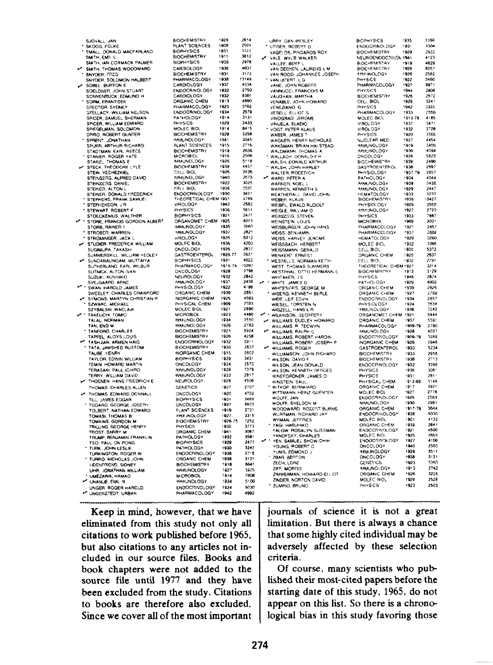|    | SJOVALL, JAN                                  | <b>BIOCHEMISTRY</b>                    | 1928            | 2814  |     | URRY, DAN WESLEY                              | <b>BIOPHYSICS</b>         | 1935         | 3386          |
|----|-----------------------------------------------|----------------------------------------|-----------------|-------|-----|-----------------------------------------------|---------------------------|--------------|---------------|
|    | * SKOOG, FOLKE                                | PLANT SCIENCES                         | 1908            | 2501  |     | * UTIGER, ROBSRT D                            | ENDOCRINOLOGY             | 1931         | 3304          |
|    | SMALL, DONALD MACFARLAND                      | <b>BIOPHYSICS</b>                      | 1931            | 3322  |     | VAGELOS, PINDAROS ROY                         | <b>BIOCHEMSTRY</b>        | 1929         | 2933          |
|    | SMITH, EMIL L                                 | <b>BIOCHEMISTRY</b>                    | 1911            | 3812  | ✔   | VALE, WYLIE WALKER                            | NEUROENDOCRISOL 1941      |              | 4123          |
|    | SMITH, IAN CORMACK PALMER                     | <b>BIOPHYSICS</b>                      | 1939            | 2976  |     | VALLEE, BERT L                                | <b>BIOCHEMISTRY</b>       | 1919         | 4829          |
| س  | SMITH, THOMAS WOODWARD                        | CARDIOLOGY                             | 1936            | 4037  |     | VAN DEENEN, LAURENS L.M.                      | <b>BIOCHEMISTRY</b>       | 1928         | 8267          |
|    | SNYDER, FRED                                  | <b>BIOCHEMISTRY</b>                    | 1931            | 3172  |     | VAN ROOD, JOHANNES JOSEPH                     | <b><i>FREINOLOGY</i></b>  | 1926         | 2582          |
|    | SNYDER, SOLOMON HALBERT                       | PHARMACOLOGY                           | 1938            | 13149 |     | * VAN UITERT. L G                             | <b>PHYSICS</b>            | 1922         | 2460          |
|    | SOBEL, BURTON E                               | CARDIOLOGY                             | 1937            | 4534  |     | VANE, JOHN ROBERT                             | PHARMACOLOGY              | 1927         | 9971          |
|    | SOELDNER, JOHN STUART                         | ENDOCRINOLOGY                          | 1932            | 2750  |     | VANNUCCI, FRANCOIS M.                         | PHYSICS                   | 1944         | 2906          |
|    | SCNNENBLICK, EDMUND H                         | CARDIOLOGY                             | 1932            | 8301  |     | VAUGHAN, MARTHA                               | <b>BIOCHEMISTRY</b>       | 1926         | 2572          |
|    | * SORM, FRANTISEK                             | ORGANIC CHEM                           | 1913            | 4890  |     | VENABLE, JOHN HOWARD                          | CELL BIOL                 | 1929         | 3241          |
|    | SPECTOR, SYDNEY                               | PHARMACOLOGY                           | 1923            | 3702  |     | VENEZIANO. G                                  | PHYSICS                   | 1942         | 2385          |
|    | <b>SPELLACY, WILLIAM NELSON</b>               | ENDOCRINOLOGY                          | 1934            | 2679  |     | VESELL ELLIOTS                                | <b>PHARMACOLOGY</b>       | 1933         | 2556          |
|    | SPICER, SAMUEL SHERMAN                        | PATHOLOGY                              | 1914            | 3131  |     | VINOGRAD, JEROME                              | <b>MOLEC BIOL</b>         | 1913-78      | 4185          |
|    | <b>SPICER, WILLIAM EDWARD</b>                 | PHYSICS                                | 1929            | 3433  |     | VINUELA ELADIO                                | VIROLOGY                  | 1937         | 3471          |
|    | SPIEGELMAN, SOLOMON                           | MOLEC BIOL                             | 1914            | 8415  |     | * VOGT, PETER KLAUS                           | <b>VIROLOGY</b>           | 1932         | 3728          |
|    | SPIRO ROBERT GUNTER                           | <b>BIOCHEMISTRY</b>                    | 1929            | 3258  |     |                                               | PHYSICS                   | 1920         | 3586          |
|    | SPRENT, JONATHAN                              | <b>MMUNOLOGY</b>                       | 1941            | 3045  |     | WABER, JAMES T<br>WAGNER, HENRY NICHOLAS      | NUCLEAR MED               | 1927         | 4454          |
|    |                                               | PLANT SCIENCES                         | 1915            | 2716  |     |                                               | <b><i>WALINOLOGY</i></b>  | 1919         | 3405          |
|    | SPURR, ARTHUR RICHARD<br>STADTMAN, EARL REECE | <b>BIOCHEMISTRY</b>                    | 1919            | 2636  |     | WAKSMAN, BRIAN HALSTEAD<br>WALDMANN, THOMAS A | <b>MMUNOLOGY</b>          | 1930         | 4094          |
|    |                                               | MICROBIOL                              | 1916            | 2506  |     |                                               | ONCOLOGY                  | 1926         | 5623          |
|    | STANIER, ROGER YATE                           | <b>MMUNOLOGY</b>                       | 1926            | 5119  |     | WALLACH, DONALD F.H.                          | <b>BIOCHEMISTRY</b>       | 1939         | 2490          |
|    | STARZL. THOMAS E                              | <b>BIOCHEMISTRY</b>                    | 1939            | 4457  |     | WALSH, DONALD ARTHUR                          | <b>GASTROENTEROL</b>      | 1938         | 2997          |
|    | STECK, THEODORE LYLE                          | CELL BIOL                              | 1926            | 2436  |     | WALSH, JOHN HARLEY                            |                           | 1937-79      | 2857          |
|    | STEIN, YECHEZKIEL                             | <b><i>SMAINOLOGY</i></b>               | 1940            | 2573  |     | WALTER, RODERICH                              | <b>PHYSIOLOGY</b>         | 1934         | 4044          |
|    | STEWGERG, ALFRED DAVID                        | <b>BIOCHEMISTRY</b>                    | 1922            | 3025  |     | WARD, PETER A                                 | PATHOLOGY                 | 1939         | 3436          |
|    | STEINEERG, DANIEL                             | CELL BIOL                              | 1936            | 3585  |     | WARNER, NOEL L                                | <b>IMMUNOLOGY</b>         | 1929         | 2447          |
|    | STEINER, ALTON L                              |                                        | 1930            | 3421  |     | WARREN, KENNETH S                             | <b>MMUNOLOGY</b>          |              |               |
|    | STEINER, DONALD PREDERICK                     | ENDOCRINOLOGY<br>THEORETICAL CHEM 1931 |                 | 2789  |     | WEATHERALL DAVID JOHN                         | <b>HEMATOLOGY</b>         | 1933<br>1936 | 3232<br>13427 |
|    | STEPHENS, FRANK SAMUEL                        |                                        | 1942            | 2582  |     | WEBER, KLAUS                                  | <b>BIOCHEMISTRY</b>       |              |               |
|    | STEPHENSON, J.R.                              | VIROLOGY<br>PHYSICS                    | 1936            | 5611  |     | WEIBFIL, EWALD RUDOLF                         | PHYSIOLOGY                | 1929         | 2958<br>2723  |
|    | STEWART, ROBERT F                             |                                        |                 | 2471  |     | WEIGLE, WILLIAM O                             | <b>HAP INOLOGY</b>        | 1927         |               |
|    | STOECKENIUS, WALTHER                          | <b>BIOPHYSICS</b>                      | 1921            | 4013  |     | WEINDERG, STEVEN                              | PHYSICS                   | 1933         | 7687          |
|    | STONE, FRANCIS GORDON ALBERT                  | ORGANOMET CHEM 1925                    |                 |       |     | WEINSTEIN, LOUIS                              | MICROBIOL                 | 1909         | 303           |
|    | STORB, RAINER F                               | <b>IMMUNOLOGY</b>                      | 1935            | 3563  |     | WEISBURGER, JOHN HANS                         | PHARMACOLOGY              | 1921         | 2457          |
|    | STROBER, WARREN                               | <b>MMUNOLOGY</b>                       | 1937            | 2821  |     | WEISS, BENJAMIN                               | PHARMACOLOGY              | 1937         | 2888          |
|    | STROMINGER, JACK L                            | VIROLOGY                               | 1925            | 6312  |     | WEISS, HARVEY JEROME                          | <b>HEMATOLOGY</b>         | 1929         | 3260          |
| م، | STUDIER, FREDERICK WILLIAM                    | MOLEC BIOL                             | 1936            | 4203  |     | WEISSBACH, HERBERT                            | MOLEC BIOL                | 1932         | 3395          |
|    | SUGIMURA, TAKASHI                             | ONCOLOGY                               | 1926            | 2837  |     | WEISSMANN GERALD                              | CELL BIOL                 | 1930         | 5372          |
|    | SUMMERSKILL, WILLIAM HEDLEY                   | <b>GASTROENTEROL</b>                   | 1926-77         | 263   |     | WENKERT, ERNEST                               | <b>ORGANIC CHEM</b>       | 1925         | 2637          |
| س  | SUNDARALINGAM, MUTTAIYA                       | <b>BIOPHYSICS</b>                      | 1931            | 4022  |     | WESSELLS, NORMAN KEITH                        | CELL BIOL                 | 1932         | 2791          |
|    | SUTHERLAND, EARL WILBUR                       | PHARMACOLOGY                           | 1915-74         | 10297 |     | WEST. THOMAS SUMMERS                          | THEORETICAL CHEM 1927     |              | 3214          |
|    | SUTNICK, ALTON IVAN                           | ONCOLOGY                               | 1928            | 2798  |     | WESTPHAL, OTTO HERMANN E                      | <b>BIOCHEMISTRY</b>       | 1913         | 3129          |
|    | SUZUKI, KUNINIKO                              | NEUROLOGY                              | 1932            | 2842  |     | WHITAKER, J.S.                                | PHYSICS                   | 1948         | 2874          |
|    | SVEJGAARD, ARNE                               | <b><i>IMMUNOLOGY</i></b>               | 1937            | 2439  | . . | WHITE, JAMES G                                | <b>PATHOLOGY</b>          | 1929         | 4002          |
|    | SWAN, HAROLD JAMES                            | PHYSIOLOGY                             | 1922            | 4196  |     | WHITESIDES, GEORGE M                          | ORGANIC CHEM              | 1939         | 2625          |
|    | SWEELEY, CHARLES CRAWFORD                     | ORGANIC CHEM                           | 1930            | 2651  |     | * WISERG, KENNETH BERLE                       | ORGANIC CHEM              | 1927         | 2769          |
|    | SYMONS, MARTYN CHRISTIAN R                    | INORGANIC CHEM                         | 1925            | 4593  |     | WIDE, LEIF EDVIN                              | ENDOCRINOLOGY             | 1934         | 2857          |
|    | SZWARC, MICHAEL                               | PHYSICAL CHEM                          | 1909            | 2593  |     | WIESEL, TORSTEN N                             | PHYSIOLOGY                | 1924         | 3634          |
|    | SZYBALSKI, WACLAW                             | MOLEC BIOL                             | 1921            | 2690  |     | WIGZELL, HANS L R                             | <b>HMUNOLOGY</b>          | 1938         | 7243          |
|    | TAKEUCHI, TOMIO                               | <b>MICROBIOL</b>                       | 1923            | 4480  |     | W . WILKINSON, GEOFFERY                       | ORGANOMET CHEM            | 1921         | 5444          |
|    | TALAL, NORMAN                                 | <b><i>MMUNOLOGY</i></b>                | 1934            | 3550  |     | WILLIAMS, DUDLEY HOWARD                       | ORGANIC CHEM              | 1937         | 5591          |
|    | TAN, ENG M                                    | <b><i>HAMUNOLOGY</i></b>               | 1926            | 2783  |     | WILLIAMS, R. TECWYN                           | PHARMACOLOGY              | 1909-79      | 2790          |
|    | TANFORD, CHARLES                              | <b>BIOCHEMISTRY</b>                    | 1921            | 5924  |     | WILLIAMS, RALPH C                             | <b><i>BAMLINOLOGY</i></b> | 1928         | 4037          |
|    | TAPPEL, ALOYS LOUIS                           | <b>BIOCHEMISTRY</b>                    | 1926            | 4258  |     | WILLIAMS, ROBERT HARDIN                       | <b>ENDOCRINOLOGY</b>      | 1909-79      | 3289          |
|    | <b>IN TASHJIAN, ARMEN HAIG</b>                | ENDOCRINOLOGY                          | 1932            | 3911  |     | WILLIAMS, ROBERT JOSEPH P                     | INORGANIC CHEM            | 1926         | 2946          |
|    | <b>TATA, JAMSHED RUSTOM</b>                   | BIOCHEMISTRY                           | 1930            | 2837  |     | WILLIAMS, ROGER                               | <b>GASTROENTEROL</b>      | 1933         | 5234          |
|    | TAUDE FIENAY                                  | INORGANIC CHEM                         | 1915            | 2802  |     | WILLIAMSON JOHN RICHARD                       | <b>BIOCHEMISTRY</b>       | 1933         | 2958          |
|    | TAYLOR, EDWIN WILLIAM                         | <b>BIOPHYSICS</b>                      | 1929            | 3431  |     | WILSON, DAVID F                               | <b>BIOCHEMISTRY</b>       | 1938         | 2713          |
|    | TEMIN, HOWARD MARTIN                          | <b>ONCOLOGY</b>                        | 1934            | 3570  |     | WILSON, JEAN DONALD                           | ENDOCRINOLOGY             | 1932         | 3398          |
|    | TERASAKI PAUL ICHIRO                          | <b>ANAUNOLOGY</b>                      | 1929            | 7379  |     | WILSON, KENNETH GEDDES                        | PHYSICS                   | 1936         | 306*          |
|    | TERRY, WILLIAM DAVID                          | <b>MMUNOLOGY</b>                       | 1933            | 2817  |     | WINEFORDNER, JAMES D                          | PHYSICS                   | 1931         | 2811          |
|    | THOENEN HANS FRIEDRICH E                      | NEUROLOGY                              | 1928            | 4506  |     | WINSTEIN, SAUL                                | PHYSICAL CHEM             | 1912-69      | 3146          |
|    | THOMAS, CHARLES ALLEN                         | <b>GENETICS</b>                        | 1927            | 2707  |     | WITKOP, BERNHARD                              | ORGANIC CHEM              | 1917         | 3921          |
|    |                                               | ONCOLOGY                               | 1920            | 4702  |     | WITTMANN, HEINZ GUENTER                       | MOLEC BIOL                | 1927         | 2776          |
|    | THOMAS, EDWARD DONNALL                        | <b>BIOPHYSICS</b>                      | 1931            | 2488  |     | WOLFF, JAN                                    | <b>ENDOCRINOLOGY</b>      | 1925         | 2564          |
|    | TILL, JAMES EDGAR                             |                                        | 1937            | 8933  |     | WOLFF, SHELDON M                              | MMUNOLOGY                 | 1930         | 29B1          |
|    | TODARO, GEORGE JOSEPH                         | ONCOLOGY                               | 1919            | 2731  |     | WOODWARD, ROBERT BURNS                        | ORGANIC CHEM              | 1917.70      | 3644          |
|    | TOLBERT, NATHAN EDWARD                        | PLANT SCIENCES                         |                 | 3315  |     | WURTMAN, RICHARD JAY                          | ENDOCRAIOLOGY             | 1936         | 6330          |
|    | TOMASI. THOMAS B                              | <b>MMUNOLOGY</b>                       | 1927<br>1926-75 | 7252  |     | WYMAN, JEFFRIES                               | <b>MOLEC BIOL</b>         | 1901         | 4133          |
|    | TOMKINS, GORDON M                             | <b>BIOCHEMISTRY</b>                    |                 | 3773  |     | YAGI HARUHIKO                                 | ORGANIC CHEM              | 1939         | 2841          |
|    | TRILLING, GEORGE HENRY                        | <b>PHYSICS</b><br><b>ORGANIC CHEM</b>  | 1930<br>1941    | 3087  |     | YALOW, ROSALYN SUSSMAN                        | <b>ENDOCRINOLOGY</b>      | 1921         | 4500          |
|    | TROST, BARRY M<br>TRUMP, BENJAMIN FRANKLIN    | <b>PATHOLOGY</b>                       | 1932            | 3581  |     | YANOFSKY, CHARLES                             | MOLEC BICK                | 1925         | 4654          |
|    |                                               | <b>BIOPHYSICS</b>                      | 1929            | 2477  | ، س | YEN, SAMUEL SHOW-CHIH                         | ENDOCRSOLOGY              | 1927         | 4106          |
|    | TSO, PAUL ON PONG                             | <b>PATHOLOGY</b>                       | 1930            | 3243  |     | YOUNG, ROBERT C                               | ONCOLOGY                  | 1940         | 2503          |
|    | <b>TURK, JOHN LESLIE</b>                      |                                        | 1936            | 2716  |     | YUNIS, EDMOND J                               | <b>IMMUNOLOGY</b>         | 1929         | 3511          |
|    | TURKINGTON, ROGER W                           | <b>ENDOCPINOLOGY</b><br>ORGANIC CHEM   | 1938            | 3101  |     | ZBAR, 852TON                                  | ONCOLOGY                  | 1938         | 3131          |
|    | * TURRO, NICHOLAS JOHN                        |                                        | 1918            | 8641  |     | ZECH. LORE                                    | <b>CENETICS</b>           | 1923         | shop.         |
|    | UDENFRIEND, SIDNEY                            | <b>BIOCHEMISTRY</b>                    | 1927            | 3825  |     | ZIFF, MORRIS                                  | <b>MMUNOLOGY</b>          | 1913         | 2742          |
|    | UHR, JONATHAN WILLIAM                         | <b>MAUNOLOGY</b>                       |                 | 7808  |     | ZIMMERMAN, HOWARD ELLIOT                      | ORGANIC CHEM              | '926         | 3226          |
|    | UMEZAWA, HAMAO                                | <b>MICROBIOL</b>                       | 1914            |       |     | ZINDER, NORTON DAVID                          | MOLEC BIOL                | 1928         | 2528          |
|    | UNANUE, EMIL R                                | <b>WINDLOGY</b>                        | 1934            | 5100  |     | * ZUMINO, BRUNO                               | PHYSICS                   | 1923         | 2500          |
|    | UNGER, ROGER HAROLD                           | ENDOCRINOLOGY                          | 1924            | 6030  |     |                                               |                           |              |               |
|    | UNGERSTEDT, URBAN                             | PHARMACOLOGY                           | 1942            | 4992  |     |                                               |                           |              |               |
|    |                                               |                                        |                 |       |     |                                               |                           |              |               |

Keep in mind, however, that we have eliminated from this study not only all citations to work published before 1965, but also citations to any articles not included in our source files. Books and book chapters were not added to the source file until 1977 and they have been excluded from the study. Citations to books are therefore also excluded. Since we cover all of the most important

journals of science it is not a great limitation. But there is always a chance that some highly cited individual may be adversely affected by these selection criteria.

Of course, many scientists who published their most-cited papers before the starting date of this study, 1965, do not appear on this list. So there is a chronological bias in this study favoring those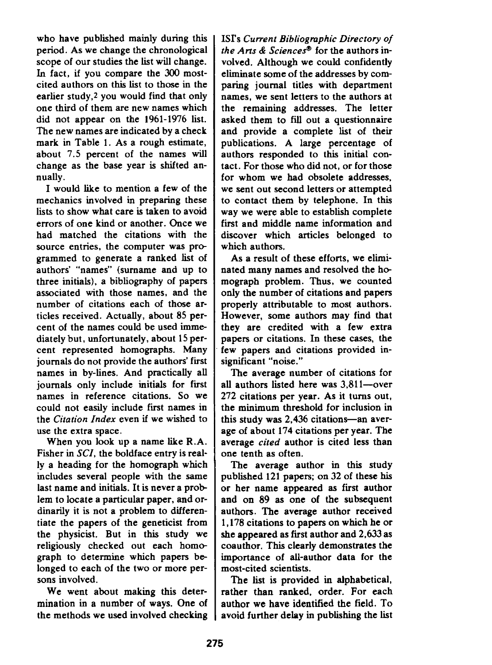who have published mainly during this period. As we change the chronological scope of our studies the list will change. In fact, if you compare the 300 mostcited authors on this list to those in the earlier study,<sup>2</sup> you would find that only one third of them are new names which did not appear on the 1961-1976 list. The new names are indicated by a check mark in Table 1. As a rough estimate, about 7.5 percent of the names will change as the base year is shifted annually.

1 would like to mention a few of the mechanics involved in preparing these lists to show what care is taken to avoid errors of one kiid or another. Once we had matched the citations with the source entries, the computer was pro grammed to generate a ranked list of authors' "names" (surname and up to three initials), a bibliography of papers associated with those names, and the number of citations each of those articles received. Actually, about 85 percent of the names could be used immediately but, unfortunately, about 15 percent represented homographs. Many journals do not provide the authors' first names in by-lines. And practically all journals only include initials for first names in reference citations. So we could not easily include first names in the *Citation Index* even if we wished to use the extra space.

When you look up a name like R.A. Fisher in SCI, the boldface entry is really a heading for the homograph which includes several people with the same last name and initials. It is never a problem to locate a particular paper, and ordinarily it is not a problem to differentiate the papers of the geneticist from the physicist. But in this study we religiously checked out each home graph to determine which papers be longed to each of the two or more persons involved.

We went about making this determination in a number of ways. One of the methods we used involved checking 1SI's Current Bibliographic Directory of *the Arts* & *Sciences*<sup>®</sup> for the authors involved. Although we could confidently eliminate some of the addresses by comparing journal titles with department names, we sent letters to the authors at the remaining addresses. The letter asked them to fill out a questionnaire and provide a complete list of their publications. A large percentage of authors responded to this initial contact. For those who did not, or for those for whom we had obsolete addresses, we sent out second letters or attempted to contact them by telephone. In this way we were able to establish complete first and middle name information and discover which articles belonged to which authors.

As a result of these efforts, we eliminated many names and resolved the he mograph problem. Thus, we counted only the number of citations and papers properly attributable to most authors. However, some authors may find that they are credited with a few extra papers or citations. In these cases, the few papers and citations provided insignificant "noise."

The average number of citations for all authors listed here was 3,811-over 272 citations per year. As it turns out, the minimum threshold for inclusion in this study was 2.436 citations-an average of about 174 citations per year. The average *cited* author is cited less than one tenth as often.

The average author in this study published 121 papers; on 32 of these his or her name appeared as first author and on 89 as one of the subsequent authors. The average author received 1,178 citations to papers on which he or she appeared as first author and 2,633 as coauthor. This clearly demonstrates the importance of all-author data for the most-cited scientists.

The list is provided in alphabetical, rather than ranked, order. For each author we have identified the field. To avoid further delay in publishing the list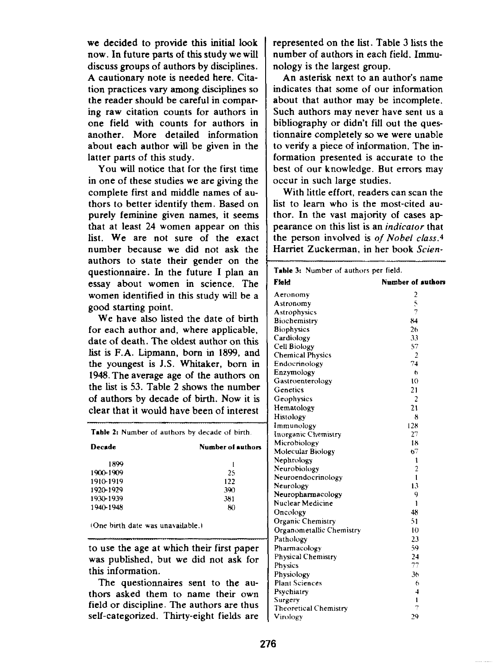we decided to provide this initial look now. In future parts of this study we will discuss groups of authors by disciplines. Acautionary note is needed here, Citation practices vary among disciplines so the reader should be careful in comparing raw citation counts for authors in one field with counts for authors in another, More detailed information about each author will be given in the latter parts of this study.

You wilf notice that for the first time in one of these studies we are giving the complete first and middle names of authors to better identify them. Based on purely feminine given names, it seems that at least 24 women appear on this list, We are not sure of the exact number because we did not ask the authors to state their gender on the questionnaire. In the future I plan an essay about women in science. The women identified in this study will be a good starting point.

We have also listed the date of birth for each author and, where applicable, date of death. The oldest author on this list is F.A. Lipmann, born in 1899, and the youngest is J.S. Whitaker, born in 1948. The average age of the authors on the list is 53. Table 2 shows the number of authors by decade of birth. Now it is clear that it would have been of interest

| <b>Table 2:</b> Number of authors by decade of birth. |     |  |  |  |  |
|-------------------------------------------------------|-----|--|--|--|--|
| Decade<br>Number of authors                           |     |  |  |  |  |
| 1899                                                  |     |  |  |  |  |
| 1900-1909                                             | 25  |  |  |  |  |
| 1910-1919                                             | 122 |  |  |  |  |
| 1920-1929                                             | 390 |  |  |  |  |
| 1930-1939                                             | 381 |  |  |  |  |
| 1940-1948                                             | 80  |  |  |  |  |

(One birth date was unavailable.)

to use the age at which their first paper was published, but we did not ask for this information.

The questionnaires sent to the authors asked them to name their own field or discipline. The authors are thus self-categorized. Thirty-eight fields are

represented on the list. Table 3 lists the number of authors in each field. Immunology is the largest group.

An asterisk next to an author's name indicates that some of our information about that author may be incomplete. Such authors may never have sent us a bibliography or didn't fifl out the questionnaire completely so we were unable to verify a piece of information. The information presented is accurate to the best of our knowledge. But errors may occur in such large studies.

With little effort, readers can scan the list to learn who is the most-cited author. In the vast majority of cases ap pearance on this list is an *indicator* that the person involved is *of Nobel c[ass.d* Harriet Zuckerman, in her book Scien-

| Table 3: Number of authors per field. |                    |
|---------------------------------------|--------------------|
| Field                                 | Number of authors  |
| Aeronomy                              | 2                  |
| Astronomy                             | 5                  |
| Astrophysics                          | 7                  |
| Biochemistry                          | 84                 |
| <b>Biophysics</b>                     | 26                 |
| Cardiology                            | 33                 |
| Cell Biology                          | 57                 |
| <b>Chemical Physics</b>               | $\overline{2}$     |
| Endocrinology                         | 74                 |
| Enzymology                            | 6                  |
| Gastroenterology                      | 10                 |
| Genetics                              | 21                 |
| Geophysics                            | 2                  |
| Hematology                            | 21                 |
| Histology                             | 8                  |
| Immunology                            | 128                |
| Inorganic Chemistry                   | 27                 |
| Microbiology                          | 18                 |
| Molecular Biology                     | 67                 |
| Nephrology                            | 1                  |
| Neurobiology                          | 2                  |
| Neuroendocrinology                    | 1                  |
| Neurology                             | 13                 |
| Neuropharmacology                     | 9                  |
| Nuclear Medicine                      | ı                  |
| Oncology                              | 48                 |
| Organic Chemistry                     | 51                 |
| Organometallic Chemistry              | $\overline{1}$ (i) |
| Pathology                             | 23                 |
| Pharmacology                          | 59                 |
| <b>Physical Chemistry</b>             | 24                 |
| <b>Physics</b>                        | 77                 |
| Physiology                            | 36                 |
| <b>Plant Sciences</b>                 | 6                  |
| Psychiatry                            | $\overline{4}$     |
| Surgery                               | 1                  |
| Theoretical Chemistry                 | 7                  |
| Virology                              | 29                 |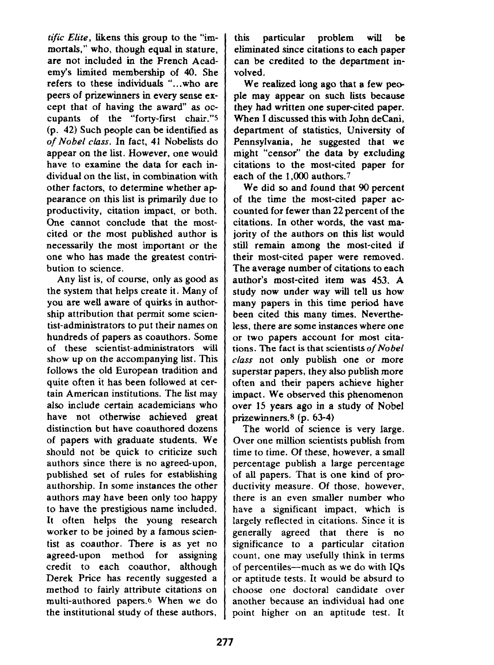*tific Elite, likens* thisgroup to the "immortals," who, though equal in stature. are not included in the French Academy's limited membership of 40. She refers to these individuals ".. who are peers of prizewinners in every sense except that of having the award" as occupants of the "forty-first chair."s (p. 42) Such people can be identified as *of Nobel ckms.* In fact, 41 Nobefists do appear on the list. However, one would have to examine the data for each individual on the list, in combination with other factors, to determine whether ap pearance on this list is primarily due to productivity, citation impact, or both. One cannot conclude that the mostcited or the most published author is necessarily the most important or the one who has made the greatest contribution to science,

Any list is, of course, only as good as the system that helps create it. Many of you are welf aware of quirks in authorship attribution that permit some scientist-administrators to put their names on hundreds of papers as coauthors. Some of these scientist-administrators will show up on the accompanying list. This follows the old European tradition and quite often it has been followed at certain American institutions. The list may also include certain academicians who have not otherwise achieved great distinction but have coauthored dozens of papers with graduate students. We should not be quick to criticize such authors since there is no agreed-upon, published set of rules for establishing authorship. In some instances the other authors may have been only too happy to have the prestigious name included. It often helps the young research worker to be joined by a famous scientist as coauthor. There is as yet no agreed-upon method for assigning credit to each coauthor, although Derek Price has recently suggested a method to fairly attribute citations on multi-authored papers.<sup>6</sup> When we do the institutional study of these authors,

this particular problem will be eliminated since citations to each paper can be credited to the department involved,

We realized long ago that a few people may appear on such lists because they had written one super-cited paper. When I discussed this with John deCani, department of statistics, University of Pennsylvania, he suggested that we might "censor" the data by excluding citations to the most-cited paper for each of the 1,000 authors.7

We did so and found that 90 percent of the time the most-cited paper accounted for fewer than 22 percent of the citations. In other words, the vast majority of the authors on this list would still remain among the most-cited if their most-cited paper were removed. The average number of citations to each author's most-cited item was 453. A study now under way will tell us how many papers in this time period have been cited this many times. Nevertheless, there are some instances where one or two papers account for most citations. The fact is that scientists *of Nobel class not* only publish one *or* more superstar papers, they also publish more often and their papers achieve higher impact. We observed this phenomenon over 15 years ago in a study of Nobel prizewinners. $8$  (p. 63-4)

The world of science is very large. Over one million scientists publish from time to time. Of these, however, a small percentage publish a large percentage of all papers. That is one kind of productivity measure. Of those, however, there is an even smaller number who have a significant impact, which is largely reflected in citations. Since it is generally agreed that there is no significance to a particular citation count, one may usefully think in terms of percentiles—much as we do with IQs or aptitude tests. It would be absurd to choose one doctoral candidate over another because an individual had one point higher on an aptitude test. It